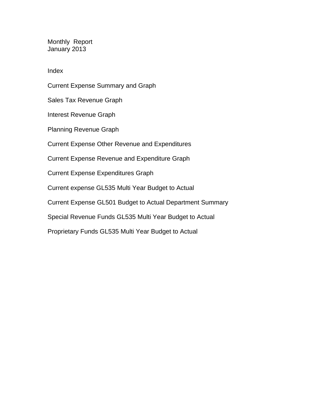Monthly Report January 2013

Index

Current Expense Summary and Graph Sales Tax Revenue Graph Interest Revenue Graph Planning Revenue Graph Current Expense Other Revenue and Expenditures Current Expense Revenue and Expenditure Graph Current Expense Expenditures Graph Current expense GL535 Multi Year Budget to Actual Current Expense GL501 Budget to Actual Department Summary Special Revenue Funds GL535 Multi Year Budget to Actual Proprietary Funds GL535 Multi Year Budget to Actual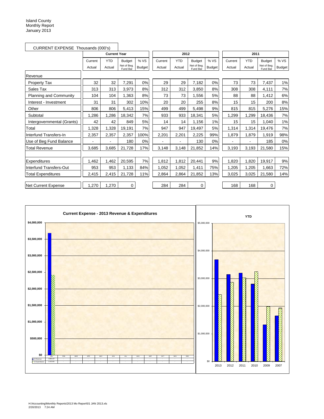| CURRENT EXPENSE Thousands (000's) |         |                     |                         |               |         |                |                         |               |         |            |                         |               |
|-----------------------------------|---------|---------------------|-------------------------|---------------|---------|----------------|-------------------------|---------------|---------|------------|-------------------------|---------------|
|                                   |         | <b>Current Year</b> |                         |               |         | 2012           |                         |               |         | 2011       |                         |               |
|                                   | Current | <b>YTD</b>          | <b>Budget</b>           | %VS           | Current | <b>YTD</b>     | <b>Budget</b>           | % VS          | Current | <b>YTD</b> | <b>Budget</b>           | % VS          |
|                                   | Actual  | Actual              | Net of Beg.<br>Fund Bal | <b>Budget</b> | Actual  | Actual         | Net of Beg.<br>Fund Bal | <b>Budget</b> | Actual  | Actual     | Net of Beg.<br>Fund Bal | <b>Budget</b> |
| Revenue                           |         |                     |                         |               |         |                |                         |               |         |            |                         |               |
| <b>Property Tax</b>               | 32      | 32                  | 7,291                   | 0%            | 29      | 29             | 7,182                   | 0%            | 73      | 73         | 7,437                   | 1%            |
| Sales Tax                         | 313     | 313                 | 3,973                   | 8%            | 312     | 312            | 3,850                   | 8%            | 308     | 308        | 4,111                   | 7%            |
| Planning and Community            | 104     | 104                 | 1,363                   | 8%            | 73      | 73             | 1,556                   | 5%            | 88      | 88         | 1,412                   | 6%            |
| Interest - Investment             | 31      | 31                  | 302                     | 10%           | 20      | 20             | 255                     | 8%            | 15      | 15         | 200                     | 8%            |
| Other                             | 806     | 806                 | 5,413                   | 15%           | 499     | 499            | 5,498                   | 9%            | 815     | 815        | 5,276                   | 15%           |
| Subtotal                          | ,286    | 1,286               | 18,342                  | 7%            | 933     | 933            | 18,341                  | 5%            | 1,299   | 1,299      | 18,436                  | 7%            |
| Intergovernmental (Grants)        | 42      | 42                  | 849                     | 5%            | 14      | 14             | 1,156                   | 1%            | 15      | 15         | 1.040                   | 1%            |
| Total                             | 1,328   | 1,328               | 19,191                  | 7%            | 947     | 947            | 19,497                  | 5%            | 1,314   | 1,314      | 19,476                  | 7%            |
| Interfund Transfers-In            | 2,357   | 2,357               | 2,357                   | 100%          | 2,201   | 2,201          | 2,225                   | 99%           | 1,879   | 1,879      | 1,919                   | 98%           |
| Use of Beg Fund Balance           |         |                     | 180                     | 0%            |         | $\blacksquare$ | 130                     | 0%            |         |            | 185                     | 0%            |
| <b>Total Revenue</b>              | 3,685   | 3,685               | 21,728                  | 17%           | 3,148   | 3,148          | 21,852                  | 14%           | 3,193   | 3,193      | 21,580                  | 15%           |
|                                   |         |                     |                         |               |         |                |                         |               |         |            |                         |               |
| Expenditures                      | .462    | 1,462               | 20,595                  | 7%            | 1,812   | 1,812          | 20,441                  | 9%            | 1,820   | 1,820      | 19,917                  | 9%            |
| Interfund Transfers-Out           | 953     | 953                 | 1,133                   | 84%           | 1,052   | 1,052          | 1,411                   | 75%           | 1,205   | 1,205      | 1,663                   | 72%           |
| <b>Total Expenditures</b>         | 2,415   | 2,415               | 21,728                  | 11%           | 2,864   | 2,864          | 21,852                  | 13%           | 3,025   | 3,025      | 21,580                  | 14%           |
|                                   |         |                     |                         |               |         |                |                         |               |         |            |                         |               |
| Net Current Expense               | 1,270   | 1,270               | 0                       |               | 284     | 284            | 0                       |               | 168     | 168        | 0                       |               |

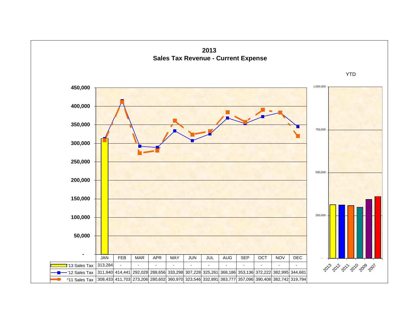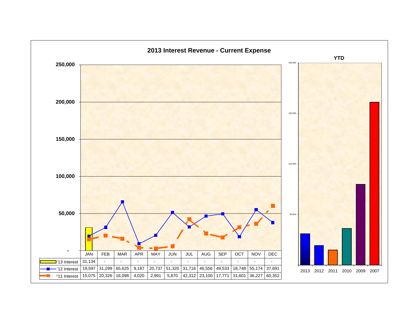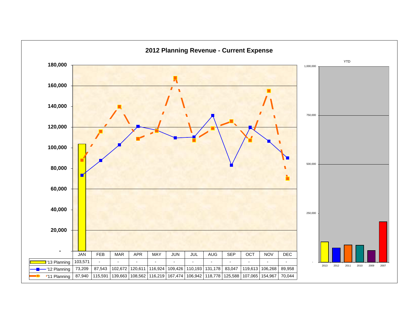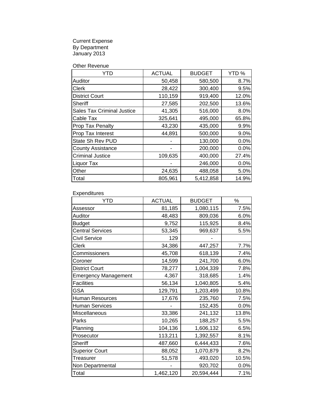Current Expense By Department January 2013

Other Revenue

| YTD                               | <b>ACTUAL</b> | <b>BUDGET</b> | YTD%  |
|-----------------------------------|---------------|---------------|-------|
| Auditor                           | 50,458        | 580,500       | 8.7%  |
| Clerk                             | 28,422        | 300,400       | 9.5%  |
| <b>District Court</b>             | 110,159       | 919,400       | 12.0% |
| Sheriff                           | 27,585        | 202,500       | 13.6% |
| <b>Sales Tax Criminal Justice</b> | 41,305        | 516,000       | 8.0%  |
| Cable Tax                         | 325,641       | 495,000       | 65.8% |
| Prop Tax Penalty                  | 43,230        | 435,000       | 9.9%  |
| Prop Tax Interest                 | 44,891        | 500,000       | 9.0%  |
| State Sh Rev PUD                  |               | 130,000       | 0.0%  |
| <b>County Assistance</b>          |               | 200,000       | 0.0%  |
| <b>Criminal Justice</b>           | 109,635       | 400,000       | 27.4% |
| Liquor Tax                        |               | 246,000       | 0.0%  |
| Other                             | 24,635        | 488,058       | 5.0%  |
| Total                             | 805,961       | 5,412,858     | 14.9% |

Expenditures

| <b>YTD</b>                  | <b>ACTUAL</b> | <b>BUDGET</b> | $\%$  |
|-----------------------------|---------------|---------------|-------|
| Assessor                    | 81,185        | 1,080,115     | 7.5%  |
| Auditor                     | 48,483        | 809,036       | 6.0%  |
| <b>Budget</b>               | 9,752         | 115,925       | 8.4%  |
| <b>Central Services</b>     | 53,345        | 969,637       | 5.5%  |
| Civil Service               | 129           |               |       |
| Clerk                       | 34,386        | 447,257       | 7.7%  |
| Commissioners               | 45,708        | 618,139       | 7.4%  |
| Coroner                     | 14,599        | 241,700       | 6.0%  |
| <b>District Court</b>       | 78,277        | 1,004,339     | 7.8%  |
| <b>Emergency Management</b> | 4,367         | 318,685       | 1.4%  |
| <b>Facilities</b>           | 56,134        | 1,040,805     | 5.4%  |
| <b>GSA</b>                  | 129,791       | 1,203,499     | 10.8% |
| <b>Human Resources</b>      | 17,676        | 235,760       | 7.5%  |
| <b>Human Services</b>       |               | 152,435       | 0.0%  |
| Miscellaneous               | 33,386        | 241,132       | 13.8% |
| Parks                       | 10,265        | 188,257       | 5.5%  |
| Planning                    | 104,136       | 1,606,132     | 6.5%  |
| Prosecutor                  | 113,211       | 1,392,557     | 8.1%  |
| Sheriff                     | 487,660       | 6,444,433     | 7.6%  |
| <b>Superior Court</b>       | 88,052        | 1,070,879     | 8.2%  |
| Treasurer                   | 51,578        | 493,020       | 10.5% |
| Non Departmental            |               | 920,702       | 0.0%  |
| Total                       | 1,462,120     | 20,594,444    | 7.1%  |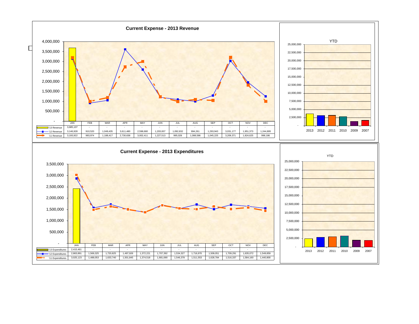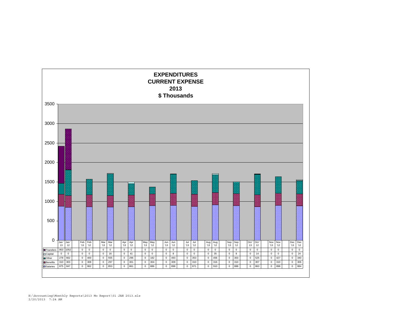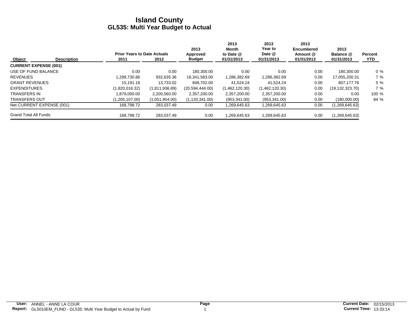|                              |                    | <b>Prior Years to Date Actuals</b> |                | 2013<br>Approved | 2013<br>Month<br>to Date @ | 2013<br><b>Year to</b><br>Date @ | 2013<br><b>Encumbered</b><br>Amount @ | 2013<br>Balance @ | Percent |
|------------------------------|--------------------|------------------------------------|----------------|------------------|----------------------------|----------------------------------|---------------------------------------|-------------------|---------|
| <b>Object</b>                | <b>Description</b> | 2011                               | 2012           | <b>Budget</b>    | 01/31/2013                 | 01/31/2013                       | 01/31/2013                            | 01/31/2013        | YTD     |
| <b>CURRENT EXPENSE (001)</b> |                    |                                    |                |                  |                            |                                  |                                       |                   |         |
| USE OF FUND BALANCE          |                    | 0.00                               | 0.00           | 180.300.00       | 0.00                       | 0.00                             | 0.00                                  | 180,300.00        | $0\%$   |
| <b>REVENUES</b>              |                    | 1.299.730.86                       | 932.635.36     | 18.341.583.00    | 1.286.382.69               | 1.286.382.69                     | 0.00                                  | 17.055.200.31     | 7 %     |
| <b>GRANT REVENUES</b>        |                    | 15.191.18                          | 13.733.02      | 848.702.00       | 41.524.24                  | 41.524.24                        | 0.00                                  | 807.177.76        | 5 %     |
| <b>EXPENDITURES</b>          |                    | (1.820.016.32)                     | (1.811.936.89) | (20.594.444.00)  | (1,462,120.30)             | (1,462,120.30)                   | 0.00                                  | (19, 132, 323.70) | 7%      |
| <b>TRANSFERS IN</b>          |                    | 1.879.000.00                       | 2,200,560.00   | 2,357,200.00     | 2,357,200.00               | 2,357,200.00                     | 0.00                                  | 0.00              | 100 %   |
| <b>TRANSFERS OUT</b>         |                    | (1,205,107.00)                     | (1,051,954.00) | (1, 133, 341.00) | (953, 341.00)              | (953, 341.00)                    | 0.00                                  | (180,000.00)      | 84 %    |
| Net CURRENT EXPENSE (001)    |                    | 168,798.72                         | 283,037.49     | 0.00             | 1,269,645.63               | 1,269,645.63                     | 0.00                                  | (1, 269, 645.63)  |         |
| <b>Grand Total All Funds</b> |                    | 168.798.72                         | 283.037.49     | 0.00             | 1,269,645.63               | 1.269.645.63                     | 0.00                                  | (1,269,645.63)    |         |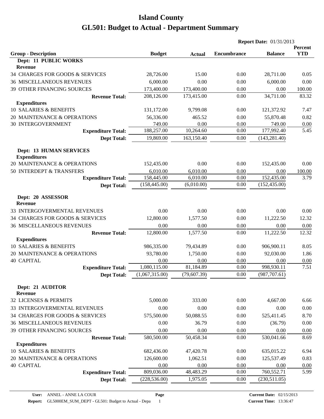|                                              |                |               | <b>Report Date: 01/31/2013</b> |                    |                       |  |
|----------------------------------------------|----------------|---------------|--------------------------------|--------------------|-----------------------|--|
| <b>Group - Description</b>                   | <b>Budget</b>  |               | <b>Encumbrance</b>             | <b>Balance</b>     | Percent<br><b>YTD</b> |  |
| Dept: 11 PUBLIC WORKS                        |                | <b>Actual</b> |                                |                    |                       |  |
| Revenue                                      |                |               |                                |                    |                       |  |
| 34 CHARGES FOR GOODS & SERVICES              | 28,726.00      | 15.00         | 0.00                           | 28,711.00          | 0.05                  |  |
| <b>36 MISCELLANEOUS REVENUES</b>             | 6,000.00       | 0.00          | 0.00                           | 6,000.00           | 0.00                  |  |
| 39 OTHER FINANCING SOURCES                   | 173,400.00     | 173,400.00    | 0.00                           | 0.00               | 100.00                |  |
| <b>Revenue Total:</b>                        | 208,126.00     | 173,415.00    | 0.00                           | 34,711.00          | 83.32                 |  |
| <b>Expenditures</b>                          |                |               |                                |                    |                       |  |
| 10 SALARIES & BENEFITS                       | 131,172.00     | 9,799.08      | 0.00                           | 121,372.92         | 7.47                  |  |
| 20 MAINTENANCE & OPERATIONS                  | 56,336.00      | 465.52        | 0.00                           | 55,870.48          | 0.82                  |  |
| <b>30 INTERGOVERNMENT</b>                    | 749.00         | 0.00          | 0.00                           | 749.00             | 0.00                  |  |
| <b>Expenditure Total:</b>                    | 188,257.00     | 10,264.60     | 0.00                           | 177,992.40         | 5.45                  |  |
| <b>Dept Total:</b>                           | 19,869.00      | 163,150.40    | 0.00                           | (143, 281.40)      |                       |  |
| <b>Dept: 13 HUMAN SERVICES</b>               |                |               |                                |                    |                       |  |
| <b>Expenditures</b>                          |                |               |                                |                    |                       |  |
| 20 MAINTENANCE & OPERATIONS                  | 152,435.00     | 0.00          | 0.00                           | 152,435.00         | 0.00                  |  |
| 50 INTERDEPT & TRANSFERS                     | 6,010.00       | 6,010.00      | 0.00                           | 0.00               | 100.00                |  |
| <b>Expenditure Total:</b>                    | 158,445.00     | 6,010.00      | 0.00                           | 152,435.00         | 3.79                  |  |
| <b>Dept Total:</b>                           | (158, 445.00)  | (6,010.00)    | 0.00                           | (152, 435.00)      |                       |  |
|                                              |                |               |                                |                    |                       |  |
| Dept: 20 ASSESSOR                            |                |               |                                |                    |                       |  |
| <b>Revenue</b>                               |                |               |                                |                    |                       |  |
| 33 INTERGOVERMENTAL REVENUES                 | 0.00           | 0.00          | 0.00                           | 0.00               | 0.00                  |  |
| 34 CHARGES FOR GOODS & SERVICES              | 12,800.00      | 1,577.50      | 0.00                           | 11,222.50          | 12.32                 |  |
| <b>36 MISCELLANEOUS REVENUES</b>             | 0.00           | 0.00          | 0.00                           | 0.00               | 0.00                  |  |
| <b>Revenue Total:</b><br><b>Expenditures</b> | 12,800.00      | 1,577.50      | 0.00                           | 11,222.50          | 12.32                 |  |
| 10 SALARIES & BENEFITS                       | 986,335.00     | 79,434.89     | 0.00                           | 906,900.11         | 8.05                  |  |
| 20 MAINTENANCE & OPERATIONS                  | 93,780.00      | 1,750.00      | 0.00                           | 92,030.00          | 1.86                  |  |
| <b>40 CAPITAL</b>                            | 0.00           | 0.00          | 0.00                           | 0.00               | 0.00                  |  |
| <b>Expenditure Total:</b>                    | 1,080,115.00   | 81,184.89     | 0.00                           | 998,930.11         | 7.51                  |  |
| <b>Dept Total:</b>                           | (1,067,315.00) | (79, 607.39)  | 0.00                           | (987, 707.61)      |                       |  |
|                                              |                |               |                                |                    |                       |  |
| Dept: 21 AUDITOR                             |                |               |                                |                    |                       |  |
| <b>Revenue</b>                               |                |               |                                |                    |                       |  |
| 32 LICENSES & PERMITS                        | 5,000.00       | 333.00        | 0.00                           | 4,667.00           | 6.66                  |  |
| 33 INTERGOVERMENTAL REVENUES                 | 0.00           | 0.00          | 0.00                           | 0.00               | 0.00                  |  |
| 34 CHARGES FOR GOODS & SERVICES              | 575,500.00     | 50,088.55     | 0.00                           | 525,411.45         | 8.70                  |  |
| <b>36 MISCELLANEOUS REVENUES</b>             | 0.00           | 36.79         | 0.00                           | (36.79)            | 0.00                  |  |
| 39 OTHER FINANCING SOURCES                   | 0.00           | 0.00          | 0.00                           | 0.00               | 0.00                  |  |
| <b>Revenue Total:</b>                        | 580,500.00     | 50,458.34     | 0.00                           | 530,041.66         | 8.69                  |  |
| <b>Expenditures</b>                          |                |               |                                |                    |                       |  |
| 10 SALARIES & BENEFITS                       | 682,436.00     | 47,420.78     | 0.00                           | 635,015.22         | 6.94                  |  |
| 20 MAINTENANCE & OPERATIONS                  | 126,600.00     | 1,062.51      | 0.00                           | 125,537.49         | 0.83                  |  |
| <b>40 CAPITAL</b>                            | 0.00           | 0.00          | 0.00                           | 0.00<br>760,552.71 | 0.00                  |  |
| <b>Expenditure Total:</b>                    | 809,036.00     | 48,483.29     | 0.00                           |                    | 5.99                  |  |
| <b>Dept Total:</b>                           | (228, 536.00)  | 1,975.05      | 0.00                           | (230,511.05)       |                       |  |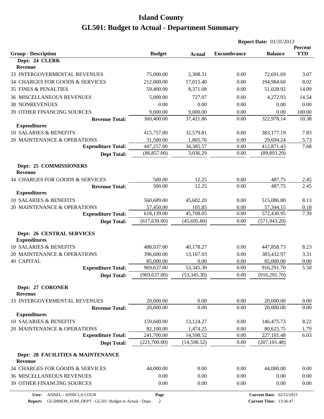|                                                          |                         |                       | <b>Report Date: 01/31/2013</b> |                                 |                       |
|----------------------------------------------------------|-------------------------|-----------------------|--------------------------------|---------------------------------|-----------------------|
| <b>Group - Description</b>                               | <b>Budget</b>           | <b>Actual</b>         | <b>Encumbrance</b>             | <b>Balance</b>                  | Percent<br><b>YTD</b> |
| Dept: 24 CLERK                                           |                         |                       |                                |                                 |                       |
| Revenue                                                  |                         |                       |                                |                                 |                       |
| 33 INTERGOVERMENTAL REVENUES                             | 75,000.00               | 2,308.31              | 0.00                           | 72,691.69                       | 3.07                  |
| 34 CHARGES FOR GOODS & SERVICES                          | 212,000.00              | 17,015.40             | 0.00                           | 194,984.60                      | 8.02                  |
| <b>35 FINES &amp; PENALTIES</b>                          | 59,400.00               | 8,371.08              | 0.00                           | 51,028.92                       | 14.09                 |
| <b>36 MISCELLANEOUS REVENUES</b>                         | 5,000.00                | 727.07                | 0.00                           | 4,272.93                        | 14.54                 |
| <b>38 NONREVENUES</b>                                    | 0.00                    | 0.00                  | 0.00                           | 0.00                            | 0.00                  |
| 39 OTHER FINANCING SOURCES                               | 9,000.00                | 9,000.00              | 0.00                           | 0.00                            | 100.00                |
| <b>Revenue Total:</b>                                    | 360,400.00              | 37,421.86             | 0.00                           | 322,978.14                      | 10.38                 |
| <b>Expenditures</b>                                      |                         |                       |                                |                                 |                       |
| 10 SALARIES & BENEFITS                                   | 415,757.00              | 32,579.81             | 0.00                           | 383,177.19                      | 7.83                  |
| 20 MAINTENANCE & OPERATIONS                              | 31,500.00               | 1,805.76              | 0.00                           | 29,694.24                       | <u>5.73</u>           |
| <b>Expenditure Total:</b>                                | 447,257.00              | 34,385.57             | 0.00                           | 412,871.43                      | 7.68                  |
| <b>Dept Total:</b>                                       | (86, 857.00)            | 3,036.29              | 0.00                           | (89, 893.29)                    |                       |
| Dept: 25 COMMISSIONERS<br><b>Revenue</b>                 |                         |                       |                                |                                 |                       |
| 34 CHARGES FOR GOODS & SERVICES                          |                         |                       |                                |                                 |                       |
| <b>Revenue Total:</b>                                    | 500.00<br>500.00        | 12.25<br>12.25        | 0.00<br>0.00                   | 487.75<br>487.75                | <u>2.45</u><br>2.45   |
| <b>Expenditures</b>                                      |                         |                       |                                |                                 |                       |
| 10 SALARIES & BENEFITS                                   | 560,689.00              | 45,602.20             | 0.00                           | 515,086.80                      | 8.13                  |
| 20 MAINTENANCE & OPERATIONS                              | 57,450.00               | 105.85                | 0.00                           | 57,344.15                       | 0.18                  |
| <b>Expenditure Total:</b>                                | 618,139.00              | 45,708.05             | 0.00                           | 572,430.95                      | 7.39                  |
| <b>Dept Total:</b>                                       | (617, 639.00)           | (45, 695.80)          | 0.00                           | (571, 943.20)                   |                       |
| <b>Dept: 26 CENTRAL SERVICES</b>                         |                         |                       |                                |                                 |                       |
| <b>Expenditures</b>                                      |                         |                       |                                |                                 |                       |
| 10 SALARIES & BENEFITS                                   | 488,037.00              | 40,178.27             | 0.00                           | 447,858.73                      | 8.23                  |
| 20 MAINTENANCE & OPERATIONS                              | 396,600.00              | 13,167.03             | 0.00                           | 383,432.97                      | 3.31                  |
| <b>40 CAPITAL</b>                                        | 85,000.00               | 0.00                  | 0.00                           | 85,000.00                       | 0.00                  |
| <b>Expenditure Total:</b>                                | 969,637.00              | 53,345.30             | 0.00                           | 916,291.70                      | 5.50                  |
| <b>Dept Total:</b>                                       | (969, 637.00)           | (53,345.30)           | 0.00                           | (916, 291.70)                   |                       |
| Dept: 27 CORONER                                         |                         |                       |                                |                                 |                       |
| Revenue                                                  |                         |                       |                                |                                 |                       |
| 33 INTERGOVERMENTAL REVENUES                             | 20,000.00               | 0.00                  | 0.00                           | 20,000.00                       | 0.00                  |
| <b>Revenue Total:</b>                                    | 20,000.00               | 0.00                  | 0.00                           | 20,000.00                       | 0.00                  |
| <b>Expenditures</b><br>10 SALARIES & BENEFITS            |                         |                       |                                |                                 |                       |
|                                                          | 159,600.00              | 13,124.27             | 0.00                           | 146,475.73                      | 8.22                  |
| 20 MAINTENANCE & OPERATIONS<br><b>Expenditure Total:</b> | 82,100.00<br>241,700.00 | 1,474.25<br>14,598.52 | 0.00<br>0.00                   | 80,625.75<br>227,101.48         | 1.79<br>6.03          |
| <b>Dept Total:</b>                                       | (221,700.00)            | (14,598.52)           | 0.00                           | (207, 101.48)                   |                       |
|                                                          |                         |                       |                                |                                 |                       |
| Dept: 28 FACILITIES & MAINTENANCE<br><b>Revenue</b>      |                         |                       |                                |                                 |                       |
| 34 CHARGES FOR GOODS & SERVICES                          | 44,000.00               | 0.00                  | 0.00                           | 44,000.00                       | 0.00                  |
| <b>36 MISCELLANEOUS REVENUES</b>                         | 0.00                    | 0.00                  | 0.00                           | 0.00                            | 0.00                  |
| 39 OTHER FINANCING SOURCES                               | 0.00                    | 0.00                  | 0.00                           | 0.00                            | 0.00                  |
| ANNEL - ANNE LA COUR<br>User:                            | Page                    |                       |                                | <b>Current Date: 02/15/2013</b> |                       |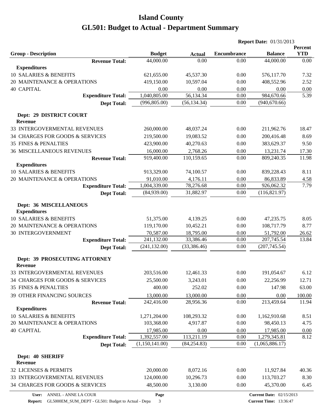| <b>Report Date: 01/31/2013</b>                      |                            |                       |                    |                                 |                       |
|-----------------------------------------------------|----------------------------|-----------------------|--------------------|---------------------------------|-----------------------|
|                                                     |                            |                       | <b>Encumbrance</b> | <b>Balance</b>                  | Percent<br><b>YTD</b> |
| <b>Group - Description</b><br><b>Revenue Total:</b> | <b>Budget</b><br>44,000.00 | <b>Actual</b><br>0.00 | 0.00               | 44,000.00                       | 0.00                  |
| <b>Expenditures</b>                                 |                            |                       |                    |                                 |                       |
| 10 SALARIES & BENEFITS                              | 621,655.00                 | 45,537.30             | 0.00               | 576,117.70                      | 7.32                  |
| 20 MAINTENANCE & OPERATIONS                         | 419,150.00                 | 10,597.04             | 0.00               | 408,552.96                      | 2.52                  |
| <b>40 CAPITAL</b>                                   | 0.00                       | 0.00                  | 0.00               | 0.00                            | 0.00                  |
| <b>Expenditure Total:</b>                           | 1,040,805.00               | 56,134.34             | 0.00               | 984,670.66                      | 5.39                  |
| <b>Dept Total:</b>                                  | (996, 805.00)              | (56, 134.34)          | 0.00               | (940, 670.66)                   |                       |
|                                                     |                            |                       |                    |                                 |                       |
| Dept: 29 DISTRICT COURT                             |                            |                       |                    |                                 |                       |
| <b>Revenue</b>                                      |                            |                       |                    |                                 |                       |
| 33 INTERGOVERMENTAL REVENUES                        | 260,000.00                 | 48,037.24             | 0.00               | 211,962.76                      | 18.47                 |
| 34 CHARGES FOR GOODS & SERVICES                     | 219,500.00                 | 19,083.52             | 0.00               | 200,416.48                      | 8.69                  |
| <b>35 FINES &amp; PENALTIES</b>                     | 423,900.00                 | 40,270.63             | 0.00               | 383,629.37                      | 9.50                  |
| <b>36 MISCELLANEOUS REVENUES</b>                    | 16,000.00                  | 2,768.26              | 0.00               | 13,231.74                       | 17.30                 |
| <b>Revenue Total:</b>                               | 919,400.00                 | 110,159.65            | 0.00               | 809,240.35                      | 11.98                 |
| <b>Expenditures</b>                                 |                            |                       |                    |                                 |                       |
| 10 SALARIES & BENEFITS                              | 913,329.00                 | 74,100.57             | 0.00               | 839,228.43                      | 8.11                  |
| 20 MAINTENANCE & OPERATIONS                         | 91,010.00                  | 4,176.11              | 0.00               | 86,833.89                       | <u>4.58</u>           |
| <b>Expenditure Total:</b>                           | 1,004,339.00               | 78,276.68             | 0.00               | 926,062.32                      | 7.79                  |
| <b>Dept Total:</b>                                  | (84,939.00)                | 31,882.97             | 0.00               | (116, 821.97)                   |                       |
| Dept: 36 MISCELLANEOUS                              |                            |                       |                    |                                 |                       |
| <b>Expenditures</b>                                 |                            |                       |                    |                                 |                       |
| 10 SALARIES & BENEFITS                              | 51,375.00                  | 4,139.25              | 0.00               | 47,235.75                       | 8.05                  |
| 20 MAINTENANCE & OPERATIONS                         | 119,170.00                 | 10,452.21             | 0.00               | 108,717.79                      | 8.77                  |
| <b>30 INTERGOVERNMENT</b>                           | 70,587.00                  | 18,795.00             | 0.00               | 51,792.00                       | 26.62                 |
| <b>Expenditure Total:</b>                           | 241,132.00                 | 33,386.46             | 0.00               | 207,745.54                      | 13.84                 |
| <b>Dept Total:</b>                                  | (241, 132.00)              | (33, 386.46)          | 0.00               | (207, 745.54)                   |                       |
| Dept: 39 PROSECUTING ATTORNEY                       |                            |                       |                    |                                 |                       |
| <b>Revenue</b>                                      |                            |                       |                    |                                 |                       |
| 33 INTERGOVERMENTAL REVENUES                        | 203,516.00                 | 12,461.33             | 0.00               | 191,054.67                      | 6.12                  |
| 34 CHARGES FOR GOODS & SERVICES                     | 25,500.00                  | 3,243.01              | 0.00               | 22,256.99                       | 12.71                 |
| <b>35 FINES &amp; PENALTIES</b>                     | 400.00                     | 252.02                | 0.00               | 147.98                          | 63.00                 |
| 39 OTHER FINANCING SOURCES                          | 13,000.00                  | 13,000.00             | 0.00               | 0.00                            | 100.00                |
| <b>Revenue Total:</b>                               | 242,416.00                 | 28,956.36             | 0.00               | 213,459.64                      | 11.94                 |
| <b>Expenditures</b>                                 |                            |                       |                    |                                 |                       |
| 10 SALARIES & BENEFITS                              | 1,271,204.00               | 108,293.32            | 0.00               | 1,162,910.68                    | 8.51                  |
| 20 MAINTENANCE & OPERATIONS                         | 103,368.00                 | 4,917.87              | 0.00               | 98,450.13                       | 4.75                  |
| <b>40 CAPITAL</b>                                   | 17,985.00                  | 0.00                  | 0.00               | 17,985.00                       | 0.00                  |
| <b>Expenditure Total:</b>                           | 1,392,557.00               | 113,211.19            | 0.00               | 1,279,345.81                    | 8.12                  |
| <b>Dept Total:</b>                                  | (1,150,141.00)             | (84, 254.83)          | 0.00               | (1,065,886.17)                  |                       |
|                                                     |                            |                       |                    |                                 |                       |
| Dept: 40 SHERIFF<br>Revenue                         |                            |                       |                    |                                 |                       |
| 32 LICENSES & PERMITS                               | 20,000.00                  | 8,072.16              | 0.00               | 11,927.84                       | 40.36                 |
| 33 INTERGOVERMENTAL REVENUES                        | 124,000.00                 | 10,296.73             | 0.00               | 113,703.27                      |                       |
| 34 CHARGES FOR GOODS & SERVICES                     |                            |                       |                    |                                 | 8.30                  |
|                                                     | 48,500.00                  | 3,130.00              | 0.00               | 45,370.00                       | 6.45                  |
| ANNEL - ANNE LA COUR<br>User:                       | Page                       |                       |                    | <b>Current Date: 02/15/2013</b> |                       |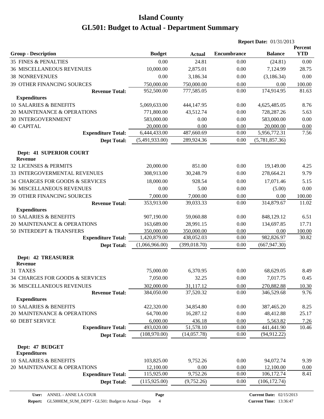|                                              |                |               | <b>Report Date: 01/31/2013</b> |                |                       |  |
|----------------------------------------------|----------------|---------------|--------------------------------|----------------|-----------------------|--|
| <b>Group - Description</b>                   | <b>Budget</b>  | <b>Actual</b> | <b>Encumbrance</b>             | <b>Balance</b> | Percent<br><b>YTD</b> |  |
| <b>35 FINES &amp; PENALTIES</b>              | 0.00           | 24.81         | 0.00                           | (24.81)        | 0.00                  |  |
| <b>36 MISCELLANEOUS REVENUES</b>             | 10,000.00      | 2,875.01      | 0.00                           | 7,124.99       | 28.75                 |  |
| <b>38 NONREVENUES</b>                        | 0.00           | 3,186.34      | 0.00                           | (3,186.34)     | 0.00                  |  |
| 39 OTHER FINANCING SOURCES                   | 750,000.00     | 750,000.00    | 0.00                           | 0.00           | 100.00                |  |
| <b>Revenue Total:</b>                        | 952,500.00     | 777,585.05    | 0.00                           | 174,914.95     | 81.63                 |  |
| <b>Expenditures</b>                          |                |               |                                |                |                       |  |
| 10 SALARIES & BENEFITS                       | 5,069,633.00   | 444,147.95    | 0.00                           | 4,625,485.05   | 8.76                  |  |
| 20 MAINTENANCE & OPERATIONS                  | 771,800.00     | 43,512.74     | 0.00                           | 728,287.26     | 5.63                  |  |
| <b>30 INTERGOVERNMENT</b>                    | 583,000.00     | 0.00          | 0.00                           | 583,000.00     | 0.00                  |  |
| <b>40 CAPITAL</b>                            | 20,000.00      | 0.00          | 0.00                           | 20,000.00      | 0.00                  |  |
| <b>Expenditure Total:</b>                    | 6,444,433.00   | 487,660.69    | 0.00                           | 5,956,772.31   | 7.56                  |  |
| <b>Dept Total:</b>                           | (5,491,933.00) | 289,924.36    | 0.00                           | (5,781,857.36) |                       |  |
| Dept: 41 SUPERIOR COURT<br>Revenue           |                |               |                                |                |                       |  |
| 32 LICENSES & PERMITS                        | 20,000.00      | 851.00        | 0.00                           | 19,149.00      | 4.25                  |  |
| 33 INTERGOVERMENTAL REVENUES                 | 308,913.00     | 30,248.79     | 0.00                           | 278,664.21     | 9.79                  |  |
| 34 CHARGES FOR GOODS & SERVICES              | 18,000.00      | 928.54        | 0.00                           | 17,071.46      | 5.15                  |  |
| <b>36 MISCELLANEOUS REVENUES</b>             | 0.00           | 5.00          | 0.00                           | (5.00)         | 0.00                  |  |
| 39 OTHER FINANCING SOURCES                   | 7,000.00       | 7,000.00      | 0.00                           | 0.00           | 100.00                |  |
|                                              | 353,913.00     | 39,033.33     | 0.00                           | 314,879.67     | 11.02                 |  |
| <b>Revenue Total:</b><br><b>Expenditures</b> |                |               |                                |                |                       |  |
| 10 SALARIES & BENEFITS                       | 907,190.00     | 59,060.88     | 0.00                           | 848,129.12     | 6.51                  |  |
| 20 MAINTENANCE & OPERATIONS                  | 163,689.00     | 28,991.15     | 0.00                           | 134,697.85     | 17.71                 |  |
| 50 INTERDEPT & TRANSFERS                     | 350,000.00     | 350,000.00    | 0.00                           | 0.00           | 100.00                |  |
| <b>Expenditure Total:</b>                    | 1,420,879.00   | 438,052.03    | 0.00                           | 982,826.97     | 30.82                 |  |
| <b>Dept Total:</b>                           | (1,066,966.00) | (399, 018.70) | 0.00                           | (667, 947.30)  |                       |  |
| <b>Dept: 42 TREASURER</b><br><b>Revenue</b>  |                |               |                                |                |                       |  |
| 31 TAXES                                     | 75,000.00      | 6,370.95      | 0.00                           | 68,629.05      | 8.49                  |  |
| 34 CHARGES FOR GOODS & SERVICES              | 7,050.00       | 32.25         | 0.00                           | 7,017.75       | 0.45                  |  |
| <b>36 MISCELLANEOUS REVENUES</b>             | 302,000.00     | 31,117.12     | 0.00                           | 270,882.88     | 10.30                 |  |
| <b>Revenue Total:</b>                        | 384,050.00     | 37,520.32     | 0.00                           | 346,529.68     | 9.76                  |  |
| <b>Expenditures</b>                          |                |               |                                |                |                       |  |
| 10 SALARIES & BENEFITS                       | 422,320.00     | 34,854.80     | 0.00                           | 387,465.20     | 8.25                  |  |
| 20 MAINTENANCE & OPERATIONS                  | 64,700.00      | 16,287.12     | 0.00                           | 48,412.88      | 25.17                 |  |
| <b>60 DEBT SERVICE</b>                       | 6,000.00       | 436.18        | 0.00                           | 5,563.82       | 7.26                  |  |
| <b>Expenditure Total:</b>                    | 493,020.00     | 51,578.10     | 0.00                           | 441,441.90     | 10.46                 |  |
| <b>Dept Total:</b>                           | (108,970.00)   | (14,057.78)   | 0.00                           | (94, 912.22)   |                       |  |
| Dept: 47 BUDGET<br><b>Expenditures</b>       |                |               |                                |                |                       |  |
| 10 SALARIES & BENEFITS                       | 103,825.00     | 9,752.26      | 0.00                           | 94,072.74      | 9.39                  |  |
| 20 MAINTENANCE & OPERATIONS                  | 12,100.00      | 0.00          | 0.00                           | 12,100.00      | 0.00                  |  |
| <b>Expenditure Total:</b>                    | 115,925.00     | 9,752.26      | 0.00                           | 106,172.74     | 8.41                  |  |
| <b>Dept Total:</b>                           | (115, 925.00)  | (9, 752.26)   | 0.00                           | (106, 172.74)  |                       |  |
|                                              |                |               |                                |                |                       |  |

**Page**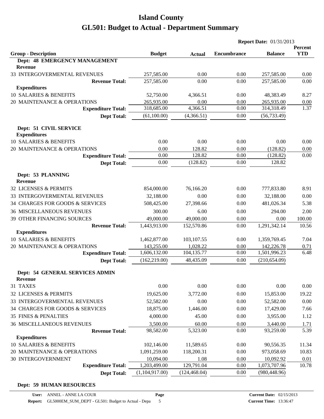|                                                             |                       |                   |                    | <b>Report Date: 01/31/2013</b><br><b>Balance</b><br>257,585.00<br>257,585.00<br>48,383.49<br>265,935.00<br>314,318.49<br>(56, 733.49)<br>0.00<br>(128.82)<br>(128.82)<br>128.82<br>777,833.80<br>32,188.00<br>481,026.34<br>294.00<br>0.00<br>1,291,342.14<br>1,359,769.45<br>142,226.78<br>1,501,996.23<br>(210, 654.09)<br>0.00<br>15,853.00<br>52,582.00<br>17,429.00<br>3,955.00<br>3,440.00<br>93,259.00<br>90,556.35<br>973,058.69<br>10,092.92<br>1,073,707.96 | Percent             |  |
|-------------------------------------------------------------|-----------------------|-------------------|--------------------|-----------------------------------------------------------------------------------------------------------------------------------------------------------------------------------------------------------------------------------------------------------------------------------------------------------------------------------------------------------------------------------------------------------------------------------------------------------------------|---------------------|--|
| <b>Group - Description</b><br>Dept: 48 EMERGENCY MANAGEMENT | <b>Budget</b>         | <b>Actual</b>     | <b>Encumbrance</b> |                                                                                                                                                                                                                                                                                                                                                                                                                                                                       | <b>YTD</b>          |  |
| Revenue                                                     |                       |                   |                    |                                                                                                                                                                                                                                                                                                                                                                                                                                                                       |                     |  |
| 33 INTERGOVERMENTAL REVENUES                                | 257,585.00            | 0.00              | 0.00               |                                                                                                                                                                                                                                                                                                                                                                                                                                                                       | 0.00                |  |
| <b>Revenue Total:</b>                                       | 257,585.00            | 0.00              | 0.00               |                                                                                                                                                                                                                                                                                                                                                                                                                                                                       | 0.00                |  |
| <b>Expenditures</b>                                         |                       |                   |                    |                                                                                                                                                                                                                                                                                                                                                                                                                                                                       |                     |  |
| 10 SALARIES & BENEFITS                                      | 52,750.00             | 4,366.51          | 0.00               |                                                                                                                                                                                                                                                                                                                                                                                                                                                                       | 8.27                |  |
| 20 MAINTENANCE & OPERATIONS                                 | 265,935.00            | 0.00              | 0.00               |                                                                                                                                                                                                                                                                                                                                                                                                                                                                       | 0.00                |  |
| <b>Expenditure Total:</b>                                   | 318,685.00            | 4,366.51          | 0.00               |                                                                                                                                                                                                                                                                                                                                                                                                                                                                       | 1.37                |  |
| <b>Dept Total:</b>                                          | (61,100.00)           | (4,366.51)        | 0.00               |                                                                                                                                                                                                                                                                                                                                                                                                                                                                       |                     |  |
| Dept: 51 CIVIL SERVICE<br><b>Expenditures</b>               |                       |                   |                    |                                                                                                                                                                                                                                                                                                                                                                                                                                                                       |                     |  |
| 10 SALARIES & BENEFITS                                      | 0.00                  | 0.00              | 0.00               |                                                                                                                                                                                                                                                                                                                                                                                                                                                                       | 0.00                |  |
| 20 MAINTENANCE & OPERATIONS                                 | 0.00                  | 128.82            | 0.00               |                                                                                                                                                                                                                                                                                                                                                                                                                                                                       | 0.00                |  |
| <b>Expenditure Total:</b>                                   | 0.00                  | 128.82            | 0.00               |                                                                                                                                                                                                                                                                                                                                                                                                                                                                       | 0.00                |  |
| <b>Dept Total:</b>                                          | 0.00                  | (128.82)          | 0.00               |                                                                                                                                                                                                                                                                                                                                                                                                                                                                       |                     |  |
| Dept: 53 PLANNING                                           |                       |                   |                    |                                                                                                                                                                                                                                                                                                                                                                                                                                                                       |                     |  |
| <b>Revenue</b>                                              |                       |                   |                    |                                                                                                                                                                                                                                                                                                                                                                                                                                                                       |                     |  |
| 32 LICENSES & PERMITS                                       | 854,000.00            | 76,166.20         | 0.00               |                                                                                                                                                                                                                                                                                                                                                                                                                                                                       | 8.91                |  |
| 33 INTERGOVERMENTAL REVENUES                                | 32,188.00             | 0.00              | 0.00               |                                                                                                                                                                                                                                                                                                                                                                                                                                                                       | 0.00                |  |
| 34 CHARGES FOR GOODS & SERVICES                             | 508,425.00            | 27,398.66         | 0.00               |                                                                                                                                                                                                                                                                                                                                                                                                                                                                       | 5.38                |  |
| <b>36 MISCELLANEOUS REVENUES</b>                            | 300.00                | 6.00              | 0.00               |                                                                                                                                                                                                                                                                                                                                                                                                                                                                       | 2.00                |  |
| 39 OTHER FINANCING SOURCES                                  | 49,000.00             | 49,000.00         | 0.00               |                                                                                                                                                                                                                                                                                                                                                                                                                                                                       | 100.00              |  |
| <b>Revenue Total:</b>                                       | 1,443,913.00          | 152,570.86        | 0.00               |                                                                                                                                                                                                                                                                                                                                                                                                                                                                       | 10.56               |  |
| <b>Expenditures</b>                                         |                       |                   |                    |                                                                                                                                                                                                                                                                                                                                                                                                                                                                       |                     |  |
| 10 SALARIES & BENEFITS                                      | 1,462,877.00          | 103,107.55        | 0.00               |                                                                                                                                                                                                                                                                                                                                                                                                                                                                       | 7.04                |  |
| 20 MAINTENANCE & OPERATIONS                                 | 143,255.00            | 1,028.22          | 0.00               |                                                                                                                                                                                                                                                                                                                                                                                                                                                                       | 0.71                |  |
| <b>Expenditure Total:</b>                                   | 1,606,132.00          | 104,135.77        | 0.00               |                                                                                                                                                                                                                                                                                                                                                                                                                                                                       | 6.48                |  |
| <b>Dept Total:</b>                                          | (162, 219.00)         | 48,435.09         | 0.00               |                                                                                                                                                                                                                                                                                                                                                                                                                                                                       |                     |  |
| <b>Dept: 54 GENERAL SERVICES ADMIN</b><br><b>Revenue</b>    |                       |                   |                    |                                                                                                                                                                                                                                                                                                                                                                                                                                                                       |                     |  |
| 31 TAXES                                                    | 0.00                  | 0.00              | 0.00               |                                                                                                                                                                                                                                                                                                                                                                                                                                                                       | 0.00                |  |
| 32 LICENSES & PERMITS                                       | 19,625.00             | 3,772.00          | 0.00               |                                                                                                                                                                                                                                                                                                                                                                                                                                                                       | 19.22               |  |
| 33 INTERGOVERMENTAL REVENUES                                | 52,582.00             | 0.00              | 0.00               |                                                                                                                                                                                                                                                                                                                                                                                                                                                                       | 0.00                |  |
| 34 CHARGES FOR GOODS & SERVICES                             | 18,875.00             | 1,446.00          | 0.00               |                                                                                                                                                                                                                                                                                                                                                                                                                                                                       | 7.66                |  |
| <b>35 FINES &amp; PENALTIES</b>                             | 4,000.00              | 45.00             | 0.00               |                                                                                                                                                                                                                                                                                                                                                                                                                                                                       | 1.12                |  |
|                                                             |                       |                   |                    |                                                                                                                                                                                                                                                                                                                                                                                                                                                                       |                     |  |
| <b>36 MISCELLANEOUS REVENUES</b><br><b>Revenue Total:</b>   | 3,500.00<br>98,582.00 | 60.00<br>5,323.00 | 0.00<br>0.00       |                                                                                                                                                                                                                                                                                                                                                                                                                                                                       | <u>1.71</u><br>5.39 |  |
| <b>Expenditures</b>                                         |                       |                   |                    |                                                                                                                                                                                                                                                                                                                                                                                                                                                                       |                     |  |
| 10 SALARIES & BENEFITS                                      | 102,146.00            | 11,589.65         | 0.00               |                                                                                                                                                                                                                                                                                                                                                                                                                                                                       | 11.34               |  |
| 20 MAINTENANCE & OPERATIONS                                 | 1,091,259.00          | 118,200.31        | 0.00               |                                                                                                                                                                                                                                                                                                                                                                                                                                                                       | 10.83               |  |
| <b>30 INTERGOVERNMENT</b>                                   | 10,094.00             | 1.08              | 0.00               |                                                                                                                                                                                                                                                                                                                                                                                                                                                                       | 0.01                |  |
| <b>Expenditure Total:</b>                                   | 1,203,499.00          | 129,791.04        | 0.00               |                                                                                                                                                                                                                                                                                                                                                                                                                                                                       | 10.78               |  |
| <b>Dept Total:</b>                                          | (1,104,917.00)        | (124, 468.04)     | 0.00               | (980, 448.96)                                                                                                                                                                                                                                                                                                                                                                                                                                                         |                     |  |
|                                                             |                       |                   |                    |                                                                                                                                                                                                                                                                                                                                                                                                                                                                       |                     |  |

**Dept: 59 HUMAN RESOURCES**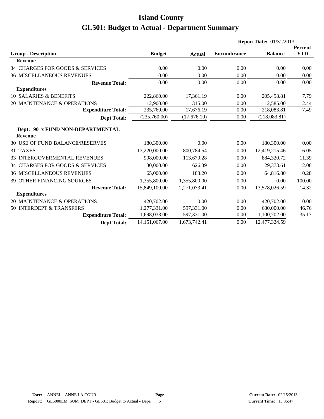|                                                    |               |               |                    | <b>Report Date: 01/31/2013</b>                                                                                                                                                                                                                               |            |
|----------------------------------------------------|---------------|---------------|--------------------|--------------------------------------------------------------------------------------------------------------------------------------------------------------------------------------------------------------------------------------------------------------|------------|
|                                                    |               |               |                    |                                                                                                                                                                                                                                                              | Percent    |
| <b>Group - Description</b>                         | <b>Budget</b> | <b>Actual</b> | <b>Encumbrance</b> | <b>Balance</b><br>0.00<br>0.00<br>0.00<br>205,498.81<br>12,585.00<br>218,083.81<br>(218,083.81)<br>180,300.00<br>12,419,215.46<br>884,320.72<br>29,373.61<br>64,816.80<br>0.00<br>13,578,026.59<br>420,702.00<br>680,000.00<br>1,100,702.00<br>12,477,324.59 | <b>YTD</b> |
| <b>Revenue</b>                                     |               |               |                    |                                                                                                                                                                                                                                                              |            |
| 34 CHARGES FOR GOODS & SERVICES                    | 0.00          | 0.00          | 0.00               |                                                                                                                                                                                                                                                              | 0.00       |
| <b>36 MISCELLANEOUS REVENUES</b>                   | 0.00          | 0.00          | 0.00               |                                                                                                                                                                                                                                                              | 0.00       |
| <b>Revenue Total:</b>                              | 0.00          | 0.00          | 0.00               |                                                                                                                                                                                                                                                              | 0.00       |
| <b>Expenditures</b>                                |               |               |                    |                                                                                                                                                                                                                                                              |            |
| 10 SALARIES & BENEFITS                             | 222,860.00    | 17,361.19     | 0.00               |                                                                                                                                                                                                                                                              | 7.79       |
| 20 MAINTENANCE & OPERATIONS                        | 12,900.00     | 315.00        | 0.00               |                                                                                                                                                                                                                                                              | 2.44       |
| <b>Expenditure Total:</b>                          | 235,760.00    | 17,676.19     | 0.00               |                                                                                                                                                                                                                                                              | 7.49       |
| <b>Dept Total:</b>                                 | (235,760.00)  | (17,676.19)   | 0.00               |                                                                                                                                                                                                                                                              |            |
| Dept: 90 x FUND NON-DEPARTMENTAL<br><b>Revenue</b> |               |               |                    |                                                                                                                                                                                                                                                              |            |
| 30 USE OF FUND BALANCE/RESERVES                    | 180,300.00    | 0.00          | 0.00               |                                                                                                                                                                                                                                                              | 0.00       |
| 31 TAXES                                           | 13,220,000.00 | 800,784.54    | 0.00               |                                                                                                                                                                                                                                                              | 6.05       |
| 33 INTERGOVERMENTAL REVENUES                       | 998,000.00    | 113,679.28    | 0.00               |                                                                                                                                                                                                                                                              | 11.39      |
| 34 CHARGES FOR GOODS & SERVICES                    | 30,000.00     | 626.39        | 0.00               |                                                                                                                                                                                                                                                              | 2.08       |
| <b>36 MISCELLANEOUS REVENUES</b>                   | 65,000.00     | 183.20        | 0.00               |                                                                                                                                                                                                                                                              | 0.28       |
| <b>39 OTHER FINANCING SOURCES</b>                  | 1,355,800.00  | 1,355,800.00  | 0.00               |                                                                                                                                                                                                                                                              | 100.00     |
| <b>Revenue Total:</b>                              | 15,849,100.00 | 2,271,073.41  | 0.00               |                                                                                                                                                                                                                                                              | 14.32      |
| <b>Expenditures</b>                                |               |               |                    |                                                                                                                                                                                                                                                              |            |
| 20 MAINTENANCE & OPERATIONS                        | 420,702.00    | 0.00          | 0.00               |                                                                                                                                                                                                                                                              | 0.00       |
| 50 INTERDEPT & TRANSFERS                           | 1,277,331.00  | 597,331.00    | 0.00               |                                                                                                                                                                                                                                                              | 46.76      |
| <b>Expenditure Total:</b>                          | 1,698,033.00  | 597,331.00    | 0.00               |                                                                                                                                                                                                                                                              | 35.17      |
| <b>Dept Total:</b>                                 | 14,151,067.00 | 1,673,742.41  | 0.00               |                                                                                                                                                                                                                                                              |            |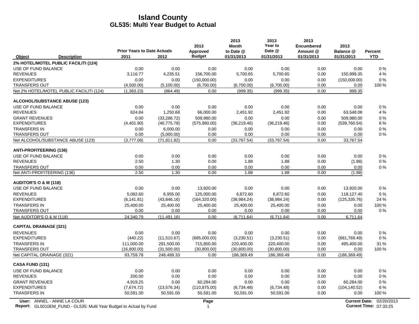|                                                                                                  | <b>Prior Years to Date Actuals</b> |              | 2013<br>Approved       | 2013<br><b>Month</b><br>to Date @ | 2013<br>Year to<br>Date @ | 2013<br><b>Encumbered</b><br>Amount @ | 2013<br>Balance @ | Percent                                            |
|--------------------------------------------------------------------------------------------------|------------------------------------|--------------|------------------------|-----------------------------------|---------------------------|---------------------------------------|-------------------|----------------------------------------------------|
| Object<br><b>Description</b>                                                                     | 2011                               | 2012         | <b>Budget</b>          | 01/31/2013                        | 01/31/2013                | 01/31/2013                            | 01/31/2013        | <b>YTD</b>                                         |
| 2% HOTEL/MOTEL PUBLIC FACILITI (124)                                                             |                                    |              |                        |                                   |                           |                                       |                   |                                                    |
| USE OF FUND BALANCE                                                                              | 0.00                               | 0.00         | 0.00                   | 0.00                              | 0.00                      | 0.00                                  | 0.00              | 0%                                                 |
| <b>REVENUES</b>                                                                                  | 3,116.77                           | 4,235.51     | 156,700.00             | 5,700.65                          | 5,700.65                  | 0.00                                  | 150,999.35        | 4 %                                                |
| <b>EXPENDITURES</b>                                                                              | 0.00                               | 0.00         | (150,000.00)           | 0.00                              | 0.00                      | 0.00                                  | (150,000.00)      | 0%                                                 |
| <b>TRANSFERS OUT</b>                                                                             | (4,500.00)                         | (5,100.00)   | (6,700.00)             | (6,700.00)                        | (6,700.00)                | 0.00                                  | 0.00              | 100 %                                              |
| Net 2% HOTEL/MOTEL PUBLIC FACILITI (124)                                                         | (1,383.23)                         | (864.49)     | 0.00                   | (999.35)                          | (999.35)                  | 0.00                                  | 999.35            |                                                    |
| <b>ALCOHOL/SUBSTANCE ABUSE (123)</b>                                                             |                                    |              |                        |                                   |                           |                                       |                   |                                                    |
| USE OF FUND BALANCE                                                                              | 0.00                               | 0.00         | 0.00                   | 0.00                              | 0.00                      | 0.00                                  | 0.00              | 0%                                                 |
| <b>REVENUES</b>                                                                                  | 624.84                             | 1,250.68     | 66,000.00              | 2,451.92                          | 2,451.92                  | 0.00                                  | 63,548.08         | 4 %                                                |
| <b>GRANT REVENUES</b>                                                                            | 0.00                               | (33, 286.72) | 509.980.00             | 0.00                              | 0.00                      | 0.00                                  | 509.980.00        | 0%                                                 |
| <b>EXPENDITURES</b>                                                                              | (4,401.90)                         | (40, 775.78) | (575,980.00)           | (36, 219.46)                      | (36, 219.46)              | 0.00                                  | (539, 760.54)     | 6 %                                                |
| <b>TRANSFERS IN</b>                                                                              | 0.00                               | 6,000.00     | 0.00                   | 0.00                              | 0.00                      | 0.00                                  | 0.00              | 0%                                                 |
| <b>TRANSFERS OUT</b>                                                                             | 0.00                               | (5,000.00)   | 0.00                   | 0.00                              | 0.00                      | 0.00                                  | 0.00              | 0%                                                 |
| Net ALCOHOL/SUBSTANCE ABUSE (123)                                                                | (3,777.06)                         | (71, 811.82) | 0.00                   | (33,767.54)                       | (33,767.54)               | 0.00                                  | 33,767.54         |                                                    |
| <b>ANTI-PROFITEERING (136)</b>                                                                   |                                    |              |                        |                                   |                           |                                       |                   |                                                    |
| USE OF FUND BALANCE                                                                              | 0.00                               | 0.00         | 0.00                   | 0.00                              | 0.00                      | 0.00                                  | 0.00              | 0%                                                 |
| <b>REVENUES</b>                                                                                  | 2.50                               | 1.30         | 0.00                   | 1.88                              | 1.88                      | 0.00                                  | (1.88)            | 0%                                                 |
| <b>TRANSFERS OUT</b>                                                                             | 0.00                               | 0.00         | 0.00                   | 0.00                              | 0.00                      | 0.00                                  | 0.00              | 0%                                                 |
| Net ANTI-PROFITEERING (136)                                                                      | 2.50                               | 1.30         | 0.00                   | 1.88                              | 1.88                      | 0.00                                  | (1.88)            |                                                    |
| <b>AUDITOR'S O &amp; M (118)</b>                                                                 |                                    |              |                        |                                   |                           |                                       |                   |                                                    |
| USE OF FUND BALANCE                                                                              | 0.00                               | 0.00         | 13,920.00              | 0.00                              | 0.00                      | 0.00                                  | 13,920.00         | 0%                                                 |
| <b>REVENUES</b>                                                                                  | 5,082.60                           | 6,955.00     | 125,000.00             | 6,872.60                          | 6,872.60                  | 0.00                                  | 118,127.40        | 5 %                                                |
| <b>EXPENDITURES</b>                                                                              | (6, 141.81)                        | (43,846.16)  | (164, 320.00)          | (38, 984.24)                      | (38, 984.24)              | 0.00                                  | (125, 335.76)     | 24 %                                               |
| <b>TRANSFERS IN</b>                                                                              | 25,400.00                          | 25,400.00    | 25,400.00              | 25,400.00                         | 25,400.00                 | 0.00                                  | 0.00              | 100 %                                              |
| <b>TRANSFERS OUT</b>                                                                             | 0.00                               | 0.00         | 0.00                   | 0.00                              | 0.00                      | 0.00                                  | 0.00              | 0%                                                 |
| Net AUDITOR'S O & M (118)                                                                        | 24.340.79                          | (11.491.16)  | 0.00                   | (6,711.64)                        | (6,711.64)                | 0.00                                  | 6,711.64          |                                                    |
| <b>CAPITAL DRAINAGE (321)</b>                                                                    |                                    |              |                        |                                   |                           |                                       |                   |                                                    |
| <b>REVENUES</b>                                                                                  | 0.00                               | 0.00         | 0.00                   | 0.00                              | 0.00                      | 0.00                                  | 0.00              | 0%                                                 |
| <b>EXPENDITURES</b>                                                                              | (440.22)                           | (11,510.67)  | (685,000.00)           | (3,230.51)                        | (3,230.51)                | 0.00                                  | (681, 769.49)     | 0%                                                 |
| <b>TRANSFERS IN</b>                                                                              | 111,000.00                         | 291,500.00   | 715,800.00             | 220,400.00                        | 220,400.00                | 0.00                                  | 495,400.00        | 31 %                                               |
| <b>TRANSFERS OUT</b>                                                                             | (16,800.00)                        | (31,500.00)  | (30, 800.00)           | (30,800.00)                       | (30,800.00)               | 0.00                                  | 0.00              | 100 %                                              |
| Net CAPITAL DRAINAGE (321)                                                                       | 93,759.78                          | 248,489.33   | 0.00                   | 186,369.49                        | 186,369.49                | 0.00                                  | (186, 369.49)     |                                                    |
| CASA FUND (131)                                                                                  |                                    |              |                        |                                   |                           |                                       |                   |                                                    |
| USE OF FUND BALANCE                                                                              | 0.00                               | 0.00         | 0.00                   | 0.00                              | 0.00                      | 0.00                                  | 0.00              | 0%                                                 |
| <b>REVENUES</b>                                                                                  | 200.00                             | 0.00         | 0.00                   | 0.00                              | 0.00                      | 0.00                                  | 0.00              | 0%                                                 |
| <b>GRANT REVENUES</b>                                                                            | 4,919.25                           | 0.00         | 60,284.00              | 0.00                              | 0.00                      | 0.00                                  | 60,284.00         | 0%                                                 |
| <b>EXPENDITURES</b>                                                                              | (7,674.72)                         | (13, 576.34) | (110, 875.00)          | (6,734.48)                        | (6,734.48)                | 0.00                                  | (104, 140.52)     | 6 %                                                |
| <b>TRANSFERS IN</b>                                                                              | 50,591.00                          | 50,591.00    | 50,591.00              | 50,591.00                         | 50,591.00                 | 0.00                                  | 0.00              | 100 %                                              |
| User: ANNEL - ANNE LA COUR<br>Report: GL5010EM_FUND - GL535: Multi Year Budget to Actual by Fund |                                    |              | Page<br>$\overline{1}$ |                                   |                           |                                       |                   | Current Date: 02/20/2013<br>Current Time: 07:33:25 |

**Report:** GL5010EM\_FUND - GL535: Multi Year Budget to Actual by Fund 07:33:25 Actual 1 **Current Time:** 07:33:25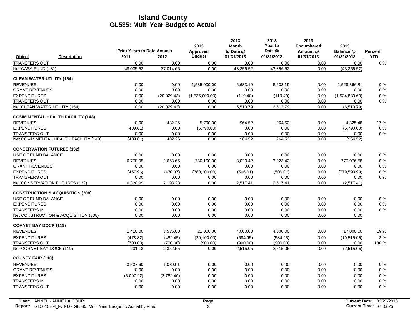|                                   |                                             | <b>Prior Years to Date Actuals</b> |             | 2013<br>Approved | 2013<br><b>Month</b><br>to Date @ | 2013<br>Year to<br>Date @ | 2013<br><b>Encumbered</b><br>Amount @ | 2013<br>Balance @ | <b>Percent</b> |
|-----------------------------------|---------------------------------------------|------------------------------------|-------------|------------------|-----------------------------------|---------------------------|---------------------------------------|-------------------|----------------|
| Object                            | <b>Description</b>                          | 2011                               | 2012        | <b>Budget</b>    | 01/31/2013                        | 01/31/2013                | 01/31/2013                            | 01/31/2013        | <b>YTD</b>     |
| <b>TRANSFERS OUT</b>              |                                             | 0.00                               | 0.00        | 0.00             | 0.00                              | 0.00                      | 0.00                                  | 0.00              | $0\%$          |
| Net CASA FUND (131)               |                                             | 48,035.53                          | 37,014.66   | 0.00             | 43,856.52                         | 43,856.52                 | 0.00                                  | (43, 856.52)      |                |
| <b>CLEAN WATER UTILITY (154)</b>  |                                             |                                    |             |                  |                                   |                           |                                       |                   |                |
| <b>REVENUES</b>                   |                                             | 0.00                               | 0.00        | 1,535,000.00     | 6.633.19                          | 6.633.19                  | 0.00                                  | 1.528.366.81      | $0\%$          |
| <b>GRANT REVENUES</b>             |                                             | 0.00                               | 0.00        | 0.00             | 0.00                              | 0.00                      | 0.00                                  | 0.00              | 0%             |
| <b>EXPENDITURES</b>               |                                             | 0.00                               | (20,029.43) | (1,535,000.00)   | (119.40)                          | (119.40)                  | 0.00                                  | (1,534,880.60)    | 0%             |
| <b>TRANSFERS OUT</b>              |                                             | 0.00                               | 0.00        | 0.00             | 0.00                              | 0.00                      | 0.00                                  | 0.00              | $0\%$          |
| Net CLEAN WATER UTILITY (154)     |                                             | 0.00                               | (20,029.43) | 0.00             | 6,513.79                          | 6,513.79                  | 0.00                                  | (6,513.79)        |                |
|                                   | <b>COMM MENTAL HEALTH FACILITY (148)</b>    |                                    |             |                  |                                   |                           |                                       |                   |                |
| <b>REVENUES</b>                   |                                             | 0.00                               | 482.26      | 5,790.00         | 964.52                            | 964.52                    | 0.00                                  | 4.825.48          | 17%            |
| <b>EXPENDITURES</b>               |                                             | (409.61)                           | 0.00        | (5,790.00)       | 0.00                              | 0.00                      | 0.00                                  | (5,790.00)        | $0\%$          |
| <b>TRANSFERS OUT</b>              |                                             | 0.00                               | 0.00        | 0.00             | 0.00                              | 0.00                      | 0.00                                  | 0.00              | $0\%$          |
|                                   | Net COMM MENTAL HEALTH FACILITY (148)       | (409.61)                           | 482.26      | 0.00             | 964.52                            | 964.52                    | 0.00                                  | (964.52)          |                |
| <b>CONSERVATION FUTURES (132)</b> |                                             |                                    |             |                  |                                   |                           |                                       |                   |                |
| USE OF FUND BALANCE               |                                             | 0.00                               | 0.00        | 0.00             | 0.00                              | 0.00                      | 0.00                                  | 0.00              | $0\%$          |
| <b>REVENUES</b>                   |                                             | 6.778.95                           | 2,663.65    | 780,100.00       | 3,023.42                          | 3.023.42                  | 0.00                                  | 777,076.58        | $0\%$          |
| <b>GRANT REVENUES</b>             |                                             | 0.00                               | 0.00        | 0.00             | 0.00                              | 0.00                      | 0.00                                  | 0.00              | 0%             |
| <b>EXPENDITURES</b>               |                                             | (457.96)                           | (470.37)    | (780, 100.00)    | (506.01)                          | (506.01)                  | 0.00                                  | (779.593.99)      | $0\%$          |
| <b>TRANSFERS OUT</b>              |                                             | 0.00                               | 0.00        | 0.00             | 0.00                              | 0.00                      | 0.00                                  | 0.00              | $0\%$          |
| Net CONSERVATION FUTURES (132)    |                                             | 6,320.99                           | 2,193.28    | 0.00             | 2,517.41                          | 2,517.41                  | 0.00                                  | (2,517.41)        |                |
|                                   | <b>CONSTRUCTION &amp; ACQUISITION (308)</b> |                                    |             |                  |                                   |                           |                                       |                   |                |
| USE OF FUND BALANCE               |                                             | 0.00                               | 0.00        | 0.00             | 0.00                              | 0.00                      | 0.00                                  | 0.00              | 0%             |
| <b>EXPENDITURES</b>               |                                             | 0.00                               | 0.00        | 0.00             | 0.00                              | 0.00                      | 0.00                                  | 0.00              | $0\%$          |
| <b>TRANSFERS IN</b>               |                                             | 0.00                               | 0.00        | 0.00             | 0.00                              | 0.00                      | 0.00                                  | 0.00              | $0\%$          |
|                                   | Net CONSTRUCTION & ACQUISITION (308)        | 0.00                               | 0.00        | 0.00             | 0.00                              | 0.00                      | 0.00                                  | 0.00              |                |
| <b>CORNET BAY DOCK (119)</b>      |                                             |                                    |             |                  |                                   |                           |                                       |                   |                |
| <b>REVENUES</b>                   |                                             | 1,410.00                           | 3,535.00    | 21,000.00        | 4,000.00                          | 4,000.00                  | 0.00                                  | 17,000.00         | 19%            |
| <b>EXPENDITURES</b>               |                                             | (478.82)                           | (482.45)    | (20, 100.00)     | (584.95)                          | (584.95)                  | 0.00                                  | (19,515.05)       | 3%             |
| <b>TRANSFERS OUT</b>              |                                             | (700.00)                           | (700.00)    | (900.00)         | (900.00)                          | (900.00)                  | 0.00                                  | 0.00              | 100 %          |
| Net CORNET BAY DOCK (119)         |                                             | 231.18                             | 2,352.55    | 0.00             | 2,515.05                          | 2,515.05                  | 0.00                                  | (2,515.05)        |                |
| <b>COUNTY FAIR (110)</b>          |                                             |                                    |             |                  |                                   |                           |                                       |                   |                |
| <b>REVENUES</b>                   |                                             | 3,537.60                           | 1,030.01    | 0.00             | 0.00                              | 0.00                      | 0.00                                  | 0.00              | 0%             |
| <b>GRANT REVENUES</b>             |                                             | 0.00                               | 0.00        | 0.00             | 0.00                              | 0.00                      | 0.00                                  | 0.00              | $0\%$          |
| <b>EXPENDITURES</b>               |                                             | (5,007.22)                         | (2,762.40)  | 0.00             | 0.00                              | 0.00                      | 0.00                                  | 0.00              | $0\%$          |
| <b>TRANSFERS IN</b>               |                                             | 0.00                               | 0.00        | 0.00             | 0.00                              | 0.00                      | 0.00                                  | 0.00              | 0%             |
| <b>TRANSFERS OUT</b>              |                                             | 0.00                               | 0.00        | 0.00             | 0.00                              | 0.00                      | 0.00                                  | 0.00              | 0%             |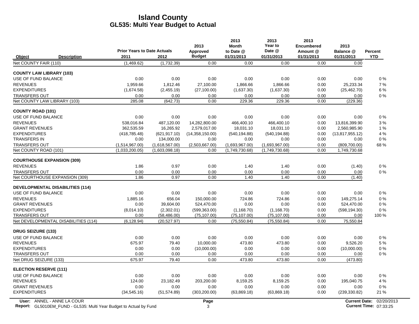|                                               |                                    |                                  | 2013                   | 2013<br><b>Month</b>             | 2013<br>Year to                  | 2013<br><b>Encumbered</b> | 2013                         |                |
|-----------------------------------------------|------------------------------------|----------------------------------|------------------------|----------------------------------|----------------------------------|---------------------------|------------------------------|----------------|
|                                               | <b>Prior Years to Date Actuals</b> |                                  | Approved               | to Date @                        | Date @                           | Amount @                  | Balance @                    | <b>Percent</b> |
| Object<br><b>Description</b>                  | 2011                               | 2012                             | <b>Budget</b>          | 01/31/2013                       | 01/31/2013                       | 01/31/2013                | 01/31/2013                   | <b>YTD</b>     |
| Net COUNTY FAIR (110)                         | (1,469.62)                         | (1,732.39)                       | 0.00                   | 0.00                             | 0.00                             | 0.00                      | 0.00                         |                |
| <b>COUNTY LAW LIBRARY (103)</b>               |                                    |                                  |                        |                                  |                                  |                           |                              |                |
| USE OF FUND BALANCE                           | 0.00                               | 0.00                             | 0.00                   | 0.00                             | 0.00                             | 0.00                      | 0.00                         | $0\%$          |
| <b>REVENUES</b>                               | 1,959.66                           | 1,812.46                         | 27,100.00              | 1,866.66                         | 1,866.66                         | 0.00                      | 25,233.34                    | 7%             |
| <b>EXPENDITURES</b>                           | (1,674.58)                         | (2,455.19)                       | (27, 100.00)           | (1,637.30)                       | (1,637.30)                       | 0.00                      | (25, 462.70)                 | 6 %            |
| <b>TRANSFERS OUT</b>                          | 0.00                               | 0.00                             | 0.00                   | 0.00                             | 0.00                             | 0.00                      | 0.00                         | 0%             |
| Net COUNTY LAW LIBRARY (103)                  | 285.08                             | (642.73)                         | 0.00                   | 229.36                           | 229.36                           | 0.00                      | (229.36)                     |                |
| <b>COUNTY ROAD (101)</b>                      |                                    |                                  |                        |                                  |                                  |                           |                              |                |
| USE OF FUND BALANCE                           | 0.00                               | 0.00                             | 0.00                   | 0.00                             | 0.00                             | 0.00                      | 0.00                         | $0\%$          |
| <b>REVENUES</b>                               | 538.016.84                         | 487,120.00                       | 14,282,800.00          | 466.400.10                       | 466,400.10                       | 0.00                      | 13,816,399.90                | 3%             |
| <b>GRANT REVENUES</b>                         | 362,535.59                         | 16,265.92                        | 2,579,017.00           | 18,031.10                        | 18,031.10                        | 0.00                      | 2,560,985.90                 | 1%             |
| <b>EXPENDITURES</b>                           | (418, 785.48)                      | (621, 917.10)                    | (14,358,150.00)        | (540, 194.88)                    | (540, 194.88)                    | 0.00                      | (13,817,955.12)              | 4 %            |
| <b>TRANSFERS IN</b>                           | 0.00                               | 134,000.00                       | 0.00                   | 0.00                             | 0.00                             | 0.00                      | 0.00                         | $0\%$          |
| <b>TRANSFERS OUT</b><br>Net COUNTY ROAD (101) | (1,514,967.00)<br>(1,033,200.05)   | (1,618,567.00)<br>(1,603,098.18) | (2,503,667.00)<br>0.00 | (1,693,967.00)<br>(1,749,730.68) | (1,693,967.00)<br>(1,749,730.68) | 0.00<br>0.00              | (809,700.00)<br>1,749,730.68 | 68%            |
|                                               |                                    |                                  |                        |                                  |                                  |                           |                              |                |
| <b>COURTHOUSE EXPANSION (309)</b>             |                                    |                                  |                        |                                  |                                  |                           |                              |                |
| <b>REVENUES</b>                               | 1.86                               | 0.97                             | 0.00                   | 1.40                             | 1.40                             | 0.00                      | (1.40)                       | $0\%$          |
| <b>TRANSFERS OUT</b>                          | 0.00                               | 0.00                             | 0.00                   | 0.00                             | 0.00                             | 0.00                      | 0.00                         | 0%             |
| Net COURTHOUSE EXPANSION (309)                | 1.86                               | 0.97                             | 0.00                   | 1.40                             | 1.40                             | 0.00                      | (1.40)                       |                |
| <b>DEVELOPMENTAL DISABILITIES (114)</b>       |                                    |                                  |                        |                                  |                                  |                           |                              |                |
| USE OF FUND BALANCE                           | 0.00                               | 0.00                             | 0.00                   | 0.00                             | 0.00                             | 0.00                      | 0.00                         | 0%             |
| <b>REVENUES</b>                               | 1.885.16                           | 656.04                           | 150,000.00             | 724.86                           | 724.86                           | 0.00                      | 149,275.14                   | $0\%$          |
| <b>GRANT REVENUES</b>                         | 0.00                               | 39,604.00                        | 524,470.00             | 0.00                             | 0.00                             | 0.00                      | 524,470.00                   | $0\%$          |
| <b>EXPENDITURES</b>                           | (8,014.10)                         | (2,302.01)                       | (599, 363.00)          | (1, 168.70)                      | (1, 168.70)                      | 0.00                      | (598, 194.30)                | 0%             |
| <b>TRANSFERS OUT</b>                          | 0.00                               | (58, 486.00)                     | (75, 107.00)           | (75, 107.00)                     | (75, 107.00)                     | 0.00                      | 0.00                         | 100 %          |
| Net DEVELOPMENTAL DISABILITIES (114)          | (6, 128.94)                        | (20,527.97)                      | 0.00                   | (75, 550.84)                     | (75, 550.84)                     | 0.00                      | 75,550.84                    |                |
| <b>DRUG SEIZURE (133)</b>                     |                                    |                                  |                        |                                  |                                  |                           |                              |                |
| USE OF FUND BALANCE                           | 0.00                               | 0.00                             | 0.00                   | 0.00                             | 0.00                             | 0.00                      | 0.00                         | $0\%$          |
| <b>REVENUES</b>                               | 675.97                             | 79.40                            | 10,000.00              | 473.80                           | 473.80                           | 0.00                      | 9,526.20                     | 5 %            |
| <b>EXPENDITURES</b>                           | 0.00                               | 0.00                             | (10,000.00)            | 0.00                             | 0.00                             | 0.00                      | (10,000.00)                  | $0\%$          |
| <b>TRANSFERS OUT</b>                          | 0.00                               | 0.00                             | 0.00                   | 0.00                             | 0.00                             | 0.00                      | 0.00                         | $0\%$          |
| Net DRUG SEIZURE (133)                        | 675.97                             | 79.40                            | 0.00                   | 473.80                           | 473.80                           | 0.00                      | (473.80)                     |                |
| <b>ELECTION RESERVE (111)</b>                 |                                    |                                  |                        |                                  |                                  |                           |                              |                |
| USE OF FUND BALANCE                           | 0.00                               | 0.00                             | 0.00                   | 0.00                             | 0.00                             | 0.00                      | 0.00                         | $0\%$          |
| <b>REVENUES</b>                               | 124.00                             | 23,182.49                        | 203,200.00             | 8,159.25                         | 8,159.25                         | 0.00                      | 195,040.75                   | 4 %            |
| <b>GRANT REVENUES</b>                         | 0.00                               | 0.00                             | 0.00                   | 0.00                             | 0.00                             | 0.00                      | 0.00                         | $0\%$          |
| <b>EXPENDITURES</b>                           | (34, 545.16)                       | (51, 574.89)                     | (303, 200.00)          | (63,869.18)                      | (63,869.18)                      | 0.00                      | (239, 330.82)                | 21 %           |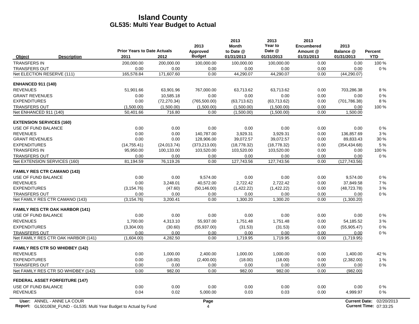|                                        |                                                                           | <b>Prior Years to Date Actuals</b> |              | 2013<br>Approved | 2013<br><b>Month</b><br>to Date @ | 2013<br>Year to<br>Date @ | 2013<br><b>Encumbered</b><br>Amount @ | 2013<br>Balance @    | <b>Percent</b>         |
|----------------------------------------|---------------------------------------------------------------------------|------------------------------------|--------------|------------------|-----------------------------------|---------------------------|---------------------------------------|----------------------|------------------------|
| Object                                 | <b>Description</b>                                                        | 2011                               | 2012         | <b>Budget</b>    | 01/31/2013                        | 01/31/2013                | 01/31/2013                            | 01/31/2013           | <b>YTD</b>             |
| <b>TRANSFERS IN</b>                    |                                                                           | 200,000.00                         | 200,000.00   | 100,000.00       | 100,000.00                        | 100,000.00                | 0.00                                  | 0.00                 | 100 %                  |
| <b>TRANSFERS OUT</b>                   |                                                                           | 0.00                               | 0.00         | 0.00             | 0.00                              | 0.00                      | 0.00                                  | 0.00                 | 0%                     |
| Net ELECTION RESERVE (111)             |                                                                           | 165.578.84                         | 171.607.60   | 0.00             | 44.290.07                         | 44.290.07                 | 0.00                                  | (44, 290.07)         |                        |
| <b>ENHANCED 911 (140)</b>              |                                                                           |                                    |              |                  |                                   |                           |                                       |                      |                        |
| <b>REVENUES</b>                        |                                                                           | 51,901.66                          | 63,901.96    | 767,000.00       | 63,713.62                         | 63,713.62                 | 0.00                                  | 703,286.38           | 8%                     |
| <b>GRANT REVENUES</b>                  |                                                                           | 0.00                               | 10,585.18    | 0.00             | 0.00                              | 0.00                      | 0.00                                  | 0.00                 | 0%                     |
| <b>EXPENDITURES</b>                    |                                                                           | 0.00                               | (72, 270.34) | (765, 500.00)    | (63,713.62)                       | (63,713.62)               | 0.00                                  | (701, 786.38)        | 8%                     |
| <b>TRANSFERS OUT</b>                   |                                                                           | (1,500.00)                         | (1,500.00)   | (1,500.00)       | (1,500.00)                        | (1,500.00)                | 0.00                                  | 0.00                 | 100 %                  |
| Net ENHANCED 911 (140)                 |                                                                           | 50,401.66                          | 716.80       | 0.00             | (1,500.00)                        | (1,500.00)                | 0.00                                  | 1,500.00             |                        |
| <b>EXTENSION SERVICES (160)</b>        |                                                                           |                                    |              |                  |                                   |                           |                                       |                      |                        |
| USE OF FUND BALANCE                    |                                                                           | 0.00                               | 0.00         | 0.00             | 0.00                              | 0.00                      | 0.00                                  | 0.00                 | 0%                     |
| <b>REVENUES</b>                        |                                                                           | 0.00                               | 0.00         | 140,787.00       | 3,929.31                          | 3,929.31                  | 0.00                                  | 136,857.69           | 3%                     |
| <b>GRANT REVENUES</b>                  |                                                                           | 0.00                               | 0.00         | 128,906.00       | 39,072.57                         | 39,072.57                 | 0.00                                  | 89,833.43            | 30 %                   |
| <b>EXPENDITURES</b>                    |                                                                           | (14, 755.41)                       | (24, 013.74) | (373, 213.00)    | (18, 778.32)                      | (18, 778.32)              | 0.00                                  | (354, 434.68)        | 5 %                    |
| <b>TRANSFERS IN</b>                    |                                                                           | 95,950.00                          | 100,133.00   | 103,520.00       | 103,520.00                        | 103,520.00                | 0.00                                  | 0.00                 | 100 %                  |
| <b>TRANSFERS OUT</b>                   |                                                                           | 0.00                               | 0.00         | 0.00             | 0.00                              | 0.00                      | 0.00                                  | 0.00                 | 0%                     |
| Net EXTENSION SERVICES (160)           |                                                                           | 81,194.59                          | 76,119.26    | 0.00             | 127,743.56                        | 127,743.56                | 0.00                                  | (127, 743.56)        |                        |
| <b>FAMILY RES CTR CAMANO (143)</b>     |                                                                           |                                    |              |                  |                                   |                           |                                       |                      |                        |
| USE OF FUND BALANCE                    |                                                                           | 0.00                               | 0.00         | 9,574.00         | 0.00                              | 0.00                      | 0.00                                  | 9,574.00             | 0%                     |
| <b>REVENUES</b>                        |                                                                           | 0.00                               | 3,248.01     | 40,572.00        | 2,722.42                          | 2,722.42                  | 0.00                                  | 37,849.58            | 7%                     |
| <b>EXPENDITURES</b>                    |                                                                           | (3, 154.76)                        | (47.60)      | (50, 146.00)     | (1,422.22)                        | (1,422.22)                | 0.00                                  | (48, 723.78)         | 3%                     |
| <b>TRANSFERS OUT</b>                   |                                                                           | 0.00                               | 0.00         | 0.00             | 0.00                              | 0.00                      | 0.00                                  | 0.00                 | $0\%$                  |
| Net FAMILY RES CTR CAMANO (143)        |                                                                           | (3, 154.76)                        | 3,200.41     | 0.00             | 1,300.20                          | 1,300.20                  | 0.00                                  | (1,300.20)           |                        |
| <b>FAMILY RES CTR OAK HARBOR (141)</b> |                                                                           |                                    |              |                  |                                   |                           |                                       |                      |                        |
| USE OF FUND BALANCE                    |                                                                           | 0.00                               | 0.00         | 0.00             | 0.00                              | 0.00                      | 0.00                                  | 0.00                 | $0\%$                  |
| <b>REVENUES</b>                        |                                                                           | 1,700.00                           | 4,313.10     | 55,937.00        | 1,751.48                          | 1,751.48                  | 0.00                                  | 54,185.52            | 3%                     |
| <b>EXPENDITURES</b>                    |                                                                           | (3,304.00)                         | (30.60)      | (55, 937.00)     | (31.53)                           | (31.53)                   | 0.00                                  | (55,905.47)          | $0\%$                  |
| <b>TRANSFERS OUT</b>                   |                                                                           | 0.00                               | 0.00         | 0.00             | 0.00                              | 0.00                      | 0.00                                  | 0.00                 | 0%                     |
|                                        | Net FAMILY RES CTR OAK HARBOR (141)                                       | (1,604.00)                         | 4,282.50     | 0.00             | 1,719.95                          | 1,719.95                  | 0.00                                  | (1,719.95)           |                        |
| <b>FAMILY RES CTR SO WHIDBEY (142)</b> |                                                                           |                                    |              |                  |                                   |                           |                                       |                      |                        |
| <b>REVENUES</b>                        |                                                                           | 0.00                               | 1,000.00     | 2,400.00         | 1,000.00                          | 1,000.00                  | 0.00                                  | 1,400.00             | 42 %                   |
| <b>EXPENDITURES</b>                    |                                                                           | 0.00                               | (18.00)      | (2,400.00)       | (18.00)                           | (18.00)                   | 0.00                                  | (2,382.00)           | 1%                     |
| <b>TRANSFERS OUT</b>                   |                                                                           | 0.00                               | 0.00         | 0.00             | 0.00                              | 0.00                      | 0.00                                  | 0.00                 | $0\%$                  |
| Net FAMILY RES CTR SO WHIDBEY (142)    |                                                                           | 0.00                               | 982.00       | 0.00             | 982.00                            | 982.00                    | 0.00                                  | (982.00)             |                        |
| <b>FEDERAL ASSET FORFEITURE (147)</b>  |                                                                           |                                    |              |                  |                                   |                           |                                       |                      |                        |
| USE OF FUND BALANCE                    |                                                                           | 0.00                               | 0.00         | 0.00             | 0.00                              | 0.00                      | 0.00                                  | 0.00                 | 0%                     |
| <b>REVENUES</b>                        |                                                                           | 0.04                               | 0.02         | 5,000.00         | 0.03                              | 0.03                      | 0.00                                  | 4,999.97             | $0\%$                  |
| User: ANNEL - ANNE LA COUR             |                                                                           |                                    |              | Page             |                                   |                           |                                       | <b>Current Date:</b> | 02/20/2013             |
|                                        | <b>Report:</b> GL5010EM_FUND - GL535: Multi Year Budget to Actual by Fund |                                    |              | 4                |                                   |                           |                                       |                      | Current Time: 07:33:25 |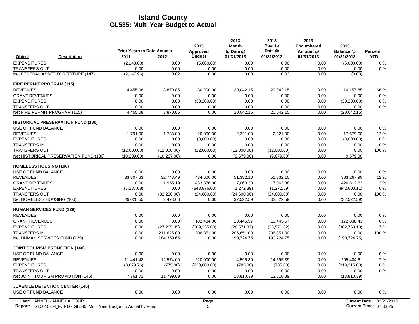|                                           | <b>Prior Years to Date Actuals</b> |              | 2013<br>Approved | 2013<br><b>Month</b><br>to Date @ | 2013<br>Year to<br>Date @ | 2013<br><b>Encumbered</b><br>Amount @ | 2013<br>Balance @    | Percent    |
|-------------------------------------------|------------------------------------|--------------|------------------|-----------------------------------|---------------------------|---------------------------------------|----------------------|------------|
| <b>Description</b><br>Object              | 2011                               | 2012         | <b>Budget</b>    | 01/31/2013                        | 01/31/2013                | 01/31/2013                            | 01/31/2013           | <b>YTD</b> |
| <b>EXPENDITURES</b>                       | (2, 148.00)                        | 0.00         | (5,000.00)       | 0.00                              | 0.00                      | 0.00                                  | (5,000.00)           | $0\%$      |
| <b>TRANSFERS OUT</b>                      | 0.00                               | 0.00         | 0.00             | 0.00                              | 0.00                      | 0.00                                  | 0.00                 | 0%         |
| Net FEDERAL ASSET FORFEITURE (147)        | (2, 147.96)                        | 0.02         | 0.00             | 0.03                              | 0.03                      | 0.00                                  | (0.03)               |            |
| FIRE PERMIT PROGRAM (115)                 |                                    |              |                  |                                   |                           |                                       |                      |            |
| <b>REVENUES</b>                           | 4,455.08                           | 3,870.85     | 30,200.00        | 20,042.15                         | 20,042.15                 | 0.00                                  | 10,157.85            | 66 %       |
| <b>GRANT REVENUES</b>                     | 0.00                               | 0.00         | 0.00             | 0.00                              | 0.00                      | 0.00                                  | 0.00                 | 0%         |
| <b>EXPENDITURES</b>                       | 0.00                               | 0.00         | (30, 200.00)     | 0.00                              | 0.00                      | 0.00                                  | (30, 200.00)         | 0%         |
| <b>TRANSFERS OUT</b>                      | 0.00                               | 0.00         | 0.00             | 0.00                              | 0.00                      | 0.00                                  | 0.00                 | 0%         |
| Net FIRE PERMIT PROGRAM (115)             | 4,455.08                           | 3,870.85     | 0.00             | 20,042.15                         | 20,042.15                 | 0.00                                  | (20,042,15)          |            |
| <b>HISTORICAL PRESERVATION FUND (180)</b> |                                    |              |                  |                                   |                           |                                       |                      |            |
| USE OF FUND BALANCE                       | 0.00                               | 0.00         | 0.00             | 0.00                              | 0.00                      | 0.00                                  | 0.00                 | 0%         |
| <b>REVENUES</b>                           | 1,791.00                           | 1,733.00     | 20,000.00        | 2,321.00                          | 2,321.00                  | 0.00                                  | 17,679.00            | 12%        |
| <b>EXPENDITURES</b>                       | 0.00                               | 0.00         | (8,000.00)       | 0.00                              | 0.00                      | 0.00                                  | (8,000.00)           | 0%         |
| <b>TRANSFERS IN</b>                       | 0.00                               | 0.00         | 0.00             | 0.00                              | 0.00                      | 0.00                                  | 0.00                 | 0%         |
| <b>TRANSFERS OUT</b>                      | (12,000.00)                        | (12,000.00)  | (12,000.00)      | (12,000.00)                       | (12,000.00)               | 0.00                                  | 0.00                 | 100 %      |
| Net HISTORICAL PRESERVATION FUND (180)    | (10, 209.00)                       | (10, 267.00) | 0.00             | (9,679.00)                        | (9,679.00)                | 0.00                                  | 9,679.00             |            |
| <b>HOMELESS HOUSING (106)</b>             |                                    |              |                  |                                   |                           |                                       |                      |            |
| USE OF FUND BALANCE                       | 0.00                               | 0.00         | 0.00             | 0.00                              | 0.00                      | 0.00                                  | 0.00                 | $0\%$      |
| <b>REVENUES</b>                           | 33,307.63                          | 32,748.49    | 434,600.00       | 51,332.10                         | 51,332.10                 | 0.00                                  | 383,267.90           | 12%        |
| <b>GRANT REVENUES</b>                     | 0.00                               | 1,955.19     | 433.876.00       | 7.063.38                          | 7.063.38                  | 0.00                                  | 426,812.62           | 2%         |
| <b>EXPENDITURES</b>                       | (7, 287.08)                        | 0.00         | (843, 876.00)    | (1, 272.89)                       | (1, 272.89)               | 0.00                                  | (842, 603.11)        | 0%         |
| <b>TRANSFERS OUT</b>                      | 0.00                               | (32, 230.00) | (24,600.00)      | (24,600.00)                       | (24,600.00)               | 0.00                                  | 0.00                 | 100 %      |
| Net HOMELESS HOUSING (106)                | 26,020.55                          | 2,473.68     | 0.00             | 32,522.59                         | 32,522.59                 | 0.00                                  | (32, 522.59)         |            |
| <b>HUMAN SERVICES FUND (129)</b>          |                                    |              |                  |                                   |                           |                                       |                      |            |
| <b>REVENUES</b>                           | 0.00                               | 0.00         | 0.00             | 0.00                              | 0.00                      | 0.00                                  | 0.00                 | 0%         |
| <b>GRANT REVENUES</b>                     | 0.00                               | 0.00         | 182,484.00       | 10,445.57                         | 10,445.57                 | 0.00                                  | 172,038.43           | 6 %        |
| <b>EXPENDITURES</b>                       | 0.00                               | (27, 265.35) | (389, 335.00)    | (26, 571.82)                      | (26, 571.82)              | 0.00                                  | (362, 763.18)        | 7%         |
| <b>TRANSFERS IN</b>                       | 0.00                               | 211,625.00   | 206,851.00       | 206.851.00                        | 206.851.00                | 0.00                                  | 0.00                 | 100 %      |
| Net HUMAN SERVICES FUND (129)             | 0.00                               | 184,359.65   | 0.00             | 190,724.75                        | 190,724.75                | 0.00                                  | (190, 724.75)        |            |
| <b>JOINT TOURISM PROMOTION (146)</b>      |                                    |              |                  |                                   |                           |                                       |                      |            |
| USE OF FUND BALANCE                       | 0.00                               | 0.00         | 0.00             | 0.00                              | 0.00                      | 0.00                                  | 0.00                 | 0%         |
| <b>REVENUES</b>                           | 11.441.48                          | 12.574.09    | 220,000.00       | 14,595.39                         | 14.595.39                 | 0.00                                  | 205,404.61           | 7%         |
| <b>EXPENDITURES</b>                       | (3,679.76)                         | (775.00)     | (220,000.00)     | (785.00)                          | (785.00)                  | 0.00                                  | (219, 215.00)        | 0%         |
| <b>TRANSFERS OUT</b>                      | 0.00                               | 0.00         | 0.00             | 0.00                              | 0.00                      | 0.00                                  | 0.00                 | 0%         |
| Net JOINT TOURISM PROMOTION (146)         | 7,761.72                           | 11,799.09    | 0.00             | 13,810.39                         | 13,810.39                 | 0.00                                  | (13,810.39)          |            |
| <b>JUVENILE DETENTION CENTER (145)</b>    |                                    |              |                  |                                   |                           |                                       |                      |            |
| USE OF FUND BALANCE                       | 0.00                               | 0.00         | 0.00             | 0.00                              | 0.00                      | 0.00                                  | 0.00                 | 0%         |
| User: ANNEL - ANNE LA COUR                |                                    |              | Page             |                                   |                           |                                       | <b>Current Date:</b> | 02/20/2013 |

Report: GL5010EM\_FUND - GL535: Multi Year Budget to Actual by Fund **Current Time: 5 Actual 2012 12: Actual 201** GL5010EM\_FUND - GL535: Multi Year Budget to Actual by Fund 07:33:25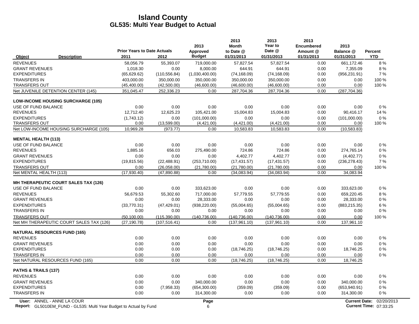| <b>Budget</b><br>01/31/2013<br>01/31/2013<br><b>Description</b><br>2011<br>2012<br>01/31/2013<br>01/31/2013<br>Object<br><b>REVENUES</b><br>58,056.79<br>55,393.07<br>719,000.00<br>57,827.54<br>57,827.54<br>661,172.46<br>0.00<br><b>GRANT REVENUES</b><br>8,000.00<br>644.91<br>0.00<br>1,018.30<br>0.00<br>644.91<br>7,355.09<br><b>EXPENDITURES</b><br>(65, 629.62)<br>(110, 556.84)<br>(1,030,400.00)<br>(74, 168.09)<br>(74, 168.09)<br>0.00<br>(956, 231.91)<br><b>TRANSFERS IN</b><br>403,000.00<br>350.000.00<br>350.000.00<br>350,000.00<br>350,000.00<br>0.00<br>0.00<br><b>TRANSFERS OUT</b><br>(45, 400.00)<br>(42,500.00)<br>(46,600.00)<br>(46,600.00)<br>(46,600.00)<br>0.00<br>0.00<br>Net JUVENILE DETENTION CENTER (145)<br>287,704.36<br>287,704.36<br>0.00<br>(287, 704.36)<br>351,045.47<br>252,336.23<br>0.00<br><b>LOW-INCOME HOUSING SURCHARGE (105)</b><br>USE OF FUND BALANCE<br>0.00<br>0.00<br>0.00<br>0.00<br>0.00<br>0.00<br>0.00<br><b>REVENUES</b><br>12,712.40<br>12,625.23<br>105,421.00<br>15,004.83<br>15,004.83<br>0.00<br>90,416.17<br><b>EXPENDITURES</b><br>(1,743.12)<br>0.00<br>(101,000.00)<br>0.00<br>0.00<br>(101,000.00)<br>0.00<br>(13,599.00)<br>(4,421.00)<br>(4,421.00)<br>0.00<br><b>TRANSFERS OUT</b><br>0.00<br>(4,421.00)<br>0.00<br>Net LOW-INCOME HOUSING SURCHARGE (105)<br>(973.77)<br>0.00<br>10,583.83<br>0.00<br>10,969.28<br>10,583.83<br>(10, 583.83)<br><b>MENTAL HEALTH (113)</b><br>USE OF FUND BALANCE<br>0.00<br>0.00<br>0.00<br>0.00<br>0.00<br>0.00<br>0.00<br><b>REVENUES</b><br>274,765.14<br>656.03<br>275,490.00<br>724.86<br>724.86<br>0.00<br>1,885.16<br><b>GRANT REVENUES</b><br>0.00<br>4,402.77<br>4,402.77<br>0.00<br>0.00<br>0.00<br>(4, 402.77)<br><b>EXPENDITURES</b><br>(19, 815.56)<br>(22, 488.91)<br>(253,710.00)<br>(17, 431.57)<br>(17, 431.57)<br>0.00<br>(236, 278.43)<br><b>TRANSFERS OUT</b><br>0.00<br>(26,058.00)<br>(21,780.00)<br>(21,780.00)<br>(21,780.00)<br>0.00<br>0.00<br>0.00<br>Net MENTAL HEALTH (113)<br>(17,930.40)<br>(47, 890.88)<br>0.00<br>(34,083.94)<br>(34,083.94)<br>34,083.94<br><b>MH THERAPEUTIC COURT SALES TAX (126)</b><br>333,623.00<br>333,623.00<br>USE OF FUND BALANCE<br>0.00<br>0.00<br>0.00<br>0.00<br>0.00<br><b>REVENUES</b><br>717,000.00<br>57,779.55<br>57,779.55<br>0.00<br>659,220.45<br>56,679.53<br>55,302.60<br>28,333.00<br><b>GRANT REVENUES</b><br>0.00<br>0.00<br>28,333.00<br>0.00<br>0.00<br>0.00<br><b>EXPENDITURES</b><br>(47, 429.01)<br>(883, 215.35)<br>(33,770.31)<br>(938, 220.00)<br>(55,004.65)<br>(55,004.65)<br>0.00<br><b>TRANSFERS IN</b><br>0.00<br>0.00<br>0.00<br>0.00<br>0.00<br>0.00<br>0.00<br><b>TRANSFERS OUT</b><br>(115, 390.00)<br>(140, 736.00)<br>(140, 736.00)<br>(140, 736.00)<br>0.00<br>(50, 100.00)<br>0.00<br>Net MH THERAPEUTIC COURT SALES TAX (126)<br>0.00<br>(107, 516.41)<br>0.00<br>(137, 961.10)<br>(137, 961.10)<br>137,961.10<br>(27, 190.78)<br><b>NATURAL RESOURCES FUND (165)</b><br>0.00<br><b>REVENUES</b><br>0.00<br>0.00<br>0.00<br>0.00<br>0.00<br>0.00<br><b>GRANT REVENUES</b><br>0.00<br>0.00<br>0.00<br>0.00<br>0.00<br>0.00<br>0.00<br>0.00<br><b>EXPENDITURES</b><br>0.00<br>0.00<br>(18, 746.25)<br>0.00<br>18,746.25<br>(18,746.25)<br>0.00<br>0.00<br>0.00<br>0.00<br><b>TRANSFERS IN</b><br>0.00<br>0.00<br>0.00<br>Net NATURAL RESOURCES FUND (165)<br>0.00<br>0.00<br>0.00<br>(18, 746.25)<br>0.00<br>(18, 746.25)<br>18,746.25<br>PATHS & TRAILS (137)<br><b>REVENUES</b><br>0.00<br>0.00<br>0.00<br>0.00<br>0.00<br>0.00<br>0.00<br><b>GRANT REVENUES</b><br>0.00<br>0.00<br>340,000.00<br>0.00<br>0.00<br>340,000.00<br>0.00<br><b>EXPENDITURES</b><br>0.00<br>(7,958.33)<br>(654, 300.00)<br>(359.09)<br>(359.09)<br>0.00<br>(653,940.91) | Percent                                     | 2013<br>Balance @ | 2013<br><b>Encumbered</b><br>Amount @ | 2013<br>Year to<br>Date @ | 2013<br><b>Month</b><br>to Date @ | 2013<br>Approved | <b>Prior Years to Date Actuals</b> |  |
|-----------------------------------------------------------------------------------------------------------------------------------------------------------------------------------------------------------------------------------------------------------------------------------------------------------------------------------------------------------------------------------------------------------------------------------------------------------------------------------------------------------------------------------------------------------------------------------------------------------------------------------------------------------------------------------------------------------------------------------------------------------------------------------------------------------------------------------------------------------------------------------------------------------------------------------------------------------------------------------------------------------------------------------------------------------------------------------------------------------------------------------------------------------------------------------------------------------------------------------------------------------------------------------------------------------------------------------------------------------------------------------------------------------------------------------------------------------------------------------------------------------------------------------------------------------------------------------------------------------------------------------------------------------------------------------------------------------------------------------------------------------------------------------------------------------------------------------------------------------------------------------------------------------------------------------------------------------------------------------------------------------------------------------------------------------------------------------------------------------------------------------------------------------------------------------------------------------------------------------------------------------------------------------------------------------------------------------------------------------------------------------------------------------------------------------------------------------------------------------------------------------------------------------------------------------------------------------------------------------------------------------------------------------------------------------------------------------------------------------------------------------------------------------------------------------------------------------------------------------------------------------------------------------------------------------------------------------------------------------------------------------------------------------------------------------------------------------------------------------------------------------------------------------------------------------------------------------------------------------------------------------------------------------------------------------------------------------------------------------------------------------------------------------------------------------------------------------------------------------------------------------------------------------------------------------------------------------------------------------------------------------------------------------------------------------------------------------------------------------------------------------------|---------------------------------------------|-------------------|---------------------------------------|---------------------------|-----------------------------------|------------------|------------------------------------|--|
|                                                                                                                                                                                                                                                                                                                                                                                                                                                                                                                                                                                                                                                                                                                                                                                                                                                                                                                                                                                                                                                                                                                                                                                                                                                                                                                                                                                                                                                                                                                                                                                                                                                                                                                                                                                                                                                                                                                                                                                                                                                                                                                                                                                                                                                                                                                                                                                                                                                                                                                                                                                                                                                                                                                                                                                                                                                                                                                                                                                                                                                                                                                                                                                                                                                                                                                                                                                                                                                                                                                                                                                                                                                                                                                                                                 | <b>YTD</b>                                  |                   |                                       |                           |                                   |                  |                                    |  |
|                                                                                                                                                                                                                                                                                                                                                                                                                                                                                                                                                                                                                                                                                                                                                                                                                                                                                                                                                                                                                                                                                                                                                                                                                                                                                                                                                                                                                                                                                                                                                                                                                                                                                                                                                                                                                                                                                                                                                                                                                                                                                                                                                                                                                                                                                                                                                                                                                                                                                                                                                                                                                                                                                                                                                                                                                                                                                                                                                                                                                                                                                                                                                                                                                                                                                                                                                                                                                                                                                                                                                                                                                                                                                                                                                                 | 8%                                          |                   |                                       |                           |                                   |                  |                                    |  |
|                                                                                                                                                                                                                                                                                                                                                                                                                                                                                                                                                                                                                                                                                                                                                                                                                                                                                                                                                                                                                                                                                                                                                                                                                                                                                                                                                                                                                                                                                                                                                                                                                                                                                                                                                                                                                                                                                                                                                                                                                                                                                                                                                                                                                                                                                                                                                                                                                                                                                                                                                                                                                                                                                                                                                                                                                                                                                                                                                                                                                                                                                                                                                                                                                                                                                                                                                                                                                                                                                                                                                                                                                                                                                                                                                                 | 8%                                          |                   |                                       |                           |                                   |                  |                                    |  |
|                                                                                                                                                                                                                                                                                                                                                                                                                                                                                                                                                                                                                                                                                                                                                                                                                                                                                                                                                                                                                                                                                                                                                                                                                                                                                                                                                                                                                                                                                                                                                                                                                                                                                                                                                                                                                                                                                                                                                                                                                                                                                                                                                                                                                                                                                                                                                                                                                                                                                                                                                                                                                                                                                                                                                                                                                                                                                                                                                                                                                                                                                                                                                                                                                                                                                                                                                                                                                                                                                                                                                                                                                                                                                                                                                                 | 7 %                                         |                   |                                       |                           |                                   |                  |                                    |  |
|                                                                                                                                                                                                                                                                                                                                                                                                                                                                                                                                                                                                                                                                                                                                                                                                                                                                                                                                                                                                                                                                                                                                                                                                                                                                                                                                                                                                                                                                                                                                                                                                                                                                                                                                                                                                                                                                                                                                                                                                                                                                                                                                                                                                                                                                                                                                                                                                                                                                                                                                                                                                                                                                                                                                                                                                                                                                                                                                                                                                                                                                                                                                                                                                                                                                                                                                                                                                                                                                                                                                                                                                                                                                                                                                                                 | 100 %                                       |                   |                                       |                           |                                   |                  |                                    |  |
|                                                                                                                                                                                                                                                                                                                                                                                                                                                                                                                                                                                                                                                                                                                                                                                                                                                                                                                                                                                                                                                                                                                                                                                                                                                                                                                                                                                                                                                                                                                                                                                                                                                                                                                                                                                                                                                                                                                                                                                                                                                                                                                                                                                                                                                                                                                                                                                                                                                                                                                                                                                                                                                                                                                                                                                                                                                                                                                                                                                                                                                                                                                                                                                                                                                                                                                                                                                                                                                                                                                                                                                                                                                                                                                                                                 | 100 %                                       |                   |                                       |                           |                                   |                  |                                    |  |
|                                                                                                                                                                                                                                                                                                                                                                                                                                                                                                                                                                                                                                                                                                                                                                                                                                                                                                                                                                                                                                                                                                                                                                                                                                                                                                                                                                                                                                                                                                                                                                                                                                                                                                                                                                                                                                                                                                                                                                                                                                                                                                                                                                                                                                                                                                                                                                                                                                                                                                                                                                                                                                                                                                                                                                                                                                                                                                                                                                                                                                                                                                                                                                                                                                                                                                                                                                                                                                                                                                                                                                                                                                                                                                                                                                 |                                             |                   |                                       |                           |                                   |                  |                                    |  |
|                                                                                                                                                                                                                                                                                                                                                                                                                                                                                                                                                                                                                                                                                                                                                                                                                                                                                                                                                                                                                                                                                                                                                                                                                                                                                                                                                                                                                                                                                                                                                                                                                                                                                                                                                                                                                                                                                                                                                                                                                                                                                                                                                                                                                                                                                                                                                                                                                                                                                                                                                                                                                                                                                                                                                                                                                                                                                                                                                                                                                                                                                                                                                                                                                                                                                                                                                                                                                                                                                                                                                                                                                                                                                                                                                                 |                                             |                   |                                       |                           |                                   |                  |                                    |  |
|                                                                                                                                                                                                                                                                                                                                                                                                                                                                                                                                                                                                                                                                                                                                                                                                                                                                                                                                                                                                                                                                                                                                                                                                                                                                                                                                                                                                                                                                                                                                                                                                                                                                                                                                                                                                                                                                                                                                                                                                                                                                                                                                                                                                                                                                                                                                                                                                                                                                                                                                                                                                                                                                                                                                                                                                                                                                                                                                                                                                                                                                                                                                                                                                                                                                                                                                                                                                                                                                                                                                                                                                                                                                                                                                                                 | 0%                                          |                   |                                       |                           |                                   |                  |                                    |  |
|                                                                                                                                                                                                                                                                                                                                                                                                                                                                                                                                                                                                                                                                                                                                                                                                                                                                                                                                                                                                                                                                                                                                                                                                                                                                                                                                                                                                                                                                                                                                                                                                                                                                                                                                                                                                                                                                                                                                                                                                                                                                                                                                                                                                                                                                                                                                                                                                                                                                                                                                                                                                                                                                                                                                                                                                                                                                                                                                                                                                                                                                                                                                                                                                                                                                                                                                                                                                                                                                                                                                                                                                                                                                                                                                                                 | 14 %                                        |                   |                                       |                           |                                   |                  |                                    |  |
|                                                                                                                                                                                                                                                                                                                                                                                                                                                                                                                                                                                                                                                                                                                                                                                                                                                                                                                                                                                                                                                                                                                                                                                                                                                                                                                                                                                                                                                                                                                                                                                                                                                                                                                                                                                                                                                                                                                                                                                                                                                                                                                                                                                                                                                                                                                                                                                                                                                                                                                                                                                                                                                                                                                                                                                                                                                                                                                                                                                                                                                                                                                                                                                                                                                                                                                                                                                                                                                                                                                                                                                                                                                                                                                                                                 | 0%                                          |                   |                                       |                           |                                   |                  |                                    |  |
|                                                                                                                                                                                                                                                                                                                                                                                                                                                                                                                                                                                                                                                                                                                                                                                                                                                                                                                                                                                                                                                                                                                                                                                                                                                                                                                                                                                                                                                                                                                                                                                                                                                                                                                                                                                                                                                                                                                                                                                                                                                                                                                                                                                                                                                                                                                                                                                                                                                                                                                                                                                                                                                                                                                                                                                                                                                                                                                                                                                                                                                                                                                                                                                                                                                                                                                                                                                                                                                                                                                                                                                                                                                                                                                                                                 | 100 %                                       |                   |                                       |                           |                                   |                  |                                    |  |
|                                                                                                                                                                                                                                                                                                                                                                                                                                                                                                                                                                                                                                                                                                                                                                                                                                                                                                                                                                                                                                                                                                                                                                                                                                                                                                                                                                                                                                                                                                                                                                                                                                                                                                                                                                                                                                                                                                                                                                                                                                                                                                                                                                                                                                                                                                                                                                                                                                                                                                                                                                                                                                                                                                                                                                                                                                                                                                                                                                                                                                                                                                                                                                                                                                                                                                                                                                                                                                                                                                                                                                                                                                                                                                                                                                 |                                             |                   |                                       |                           |                                   |                  |                                    |  |
|                                                                                                                                                                                                                                                                                                                                                                                                                                                                                                                                                                                                                                                                                                                                                                                                                                                                                                                                                                                                                                                                                                                                                                                                                                                                                                                                                                                                                                                                                                                                                                                                                                                                                                                                                                                                                                                                                                                                                                                                                                                                                                                                                                                                                                                                                                                                                                                                                                                                                                                                                                                                                                                                                                                                                                                                                                                                                                                                                                                                                                                                                                                                                                                                                                                                                                                                                                                                                                                                                                                                                                                                                                                                                                                                                                 |                                             |                   |                                       |                           |                                   |                  |                                    |  |
|                                                                                                                                                                                                                                                                                                                                                                                                                                                                                                                                                                                                                                                                                                                                                                                                                                                                                                                                                                                                                                                                                                                                                                                                                                                                                                                                                                                                                                                                                                                                                                                                                                                                                                                                                                                                                                                                                                                                                                                                                                                                                                                                                                                                                                                                                                                                                                                                                                                                                                                                                                                                                                                                                                                                                                                                                                                                                                                                                                                                                                                                                                                                                                                                                                                                                                                                                                                                                                                                                                                                                                                                                                                                                                                                                                 | $0\%$                                       |                   |                                       |                           |                                   |                  |                                    |  |
|                                                                                                                                                                                                                                                                                                                                                                                                                                                                                                                                                                                                                                                                                                                                                                                                                                                                                                                                                                                                                                                                                                                                                                                                                                                                                                                                                                                                                                                                                                                                                                                                                                                                                                                                                                                                                                                                                                                                                                                                                                                                                                                                                                                                                                                                                                                                                                                                                                                                                                                                                                                                                                                                                                                                                                                                                                                                                                                                                                                                                                                                                                                                                                                                                                                                                                                                                                                                                                                                                                                                                                                                                                                                                                                                                                 | $0\%$                                       |                   |                                       |                           |                                   |                  |                                    |  |
|                                                                                                                                                                                                                                                                                                                                                                                                                                                                                                                                                                                                                                                                                                                                                                                                                                                                                                                                                                                                                                                                                                                                                                                                                                                                                                                                                                                                                                                                                                                                                                                                                                                                                                                                                                                                                                                                                                                                                                                                                                                                                                                                                                                                                                                                                                                                                                                                                                                                                                                                                                                                                                                                                                                                                                                                                                                                                                                                                                                                                                                                                                                                                                                                                                                                                                                                                                                                                                                                                                                                                                                                                                                                                                                                                                 | 0%                                          |                   |                                       |                           |                                   |                  |                                    |  |
|                                                                                                                                                                                                                                                                                                                                                                                                                                                                                                                                                                                                                                                                                                                                                                                                                                                                                                                                                                                                                                                                                                                                                                                                                                                                                                                                                                                                                                                                                                                                                                                                                                                                                                                                                                                                                                                                                                                                                                                                                                                                                                                                                                                                                                                                                                                                                                                                                                                                                                                                                                                                                                                                                                                                                                                                                                                                                                                                                                                                                                                                                                                                                                                                                                                                                                                                                                                                                                                                                                                                                                                                                                                                                                                                                                 | 7%                                          |                   |                                       |                           |                                   |                  |                                    |  |
|                                                                                                                                                                                                                                                                                                                                                                                                                                                                                                                                                                                                                                                                                                                                                                                                                                                                                                                                                                                                                                                                                                                                                                                                                                                                                                                                                                                                                                                                                                                                                                                                                                                                                                                                                                                                                                                                                                                                                                                                                                                                                                                                                                                                                                                                                                                                                                                                                                                                                                                                                                                                                                                                                                                                                                                                                                                                                                                                                                                                                                                                                                                                                                                                                                                                                                                                                                                                                                                                                                                                                                                                                                                                                                                                                                 | 100 %                                       |                   |                                       |                           |                                   |                  |                                    |  |
|                                                                                                                                                                                                                                                                                                                                                                                                                                                                                                                                                                                                                                                                                                                                                                                                                                                                                                                                                                                                                                                                                                                                                                                                                                                                                                                                                                                                                                                                                                                                                                                                                                                                                                                                                                                                                                                                                                                                                                                                                                                                                                                                                                                                                                                                                                                                                                                                                                                                                                                                                                                                                                                                                                                                                                                                                                                                                                                                                                                                                                                                                                                                                                                                                                                                                                                                                                                                                                                                                                                                                                                                                                                                                                                                                                 |                                             |                   |                                       |                           |                                   |                  |                                    |  |
|                                                                                                                                                                                                                                                                                                                                                                                                                                                                                                                                                                                                                                                                                                                                                                                                                                                                                                                                                                                                                                                                                                                                                                                                                                                                                                                                                                                                                                                                                                                                                                                                                                                                                                                                                                                                                                                                                                                                                                                                                                                                                                                                                                                                                                                                                                                                                                                                                                                                                                                                                                                                                                                                                                                                                                                                                                                                                                                                                                                                                                                                                                                                                                                                                                                                                                                                                                                                                                                                                                                                                                                                                                                                                                                                                                 |                                             |                   |                                       |                           |                                   |                  |                                    |  |
|                                                                                                                                                                                                                                                                                                                                                                                                                                                                                                                                                                                                                                                                                                                                                                                                                                                                                                                                                                                                                                                                                                                                                                                                                                                                                                                                                                                                                                                                                                                                                                                                                                                                                                                                                                                                                                                                                                                                                                                                                                                                                                                                                                                                                                                                                                                                                                                                                                                                                                                                                                                                                                                                                                                                                                                                                                                                                                                                                                                                                                                                                                                                                                                                                                                                                                                                                                                                                                                                                                                                                                                                                                                                                                                                                                 | $0\%$                                       |                   |                                       |                           |                                   |                  |                                    |  |
|                                                                                                                                                                                                                                                                                                                                                                                                                                                                                                                                                                                                                                                                                                                                                                                                                                                                                                                                                                                                                                                                                                                                                                                                                                                                                                                                                                                                                                                                                                                                                                                                                                                                                                                                                                                                                                                                                                                                                                                                                                                                                                                                                                                                                                                                                                                                                                                                                                                                                                                                                                                                                                                                                                                                                                                                                                                                                                                                                                                                                                                                                                                                                                                                                                                                                                                                                                                                                                                                                                                                                                                                                                                                                                                                                                 | 8%                                          |                   |                                       |                           |                                   |                  |                                    |  |
|                                                                                                                                                                                                                                                                                                                                                                                                                                                                                                                                                                                                                                                                                                                                                                                                                                                                                                                                                                                                                                                                                                                                                                                                                                                                                                                                                                                                                                                                                                                                                                                                                                                                                                                                                                                                                                                                                                                                                                                                                                                                                                                                                                                                                                                                                                                                                                                                                                                                                                                                                                                                                                                                                                                                                                                                                                                                                                                                                                                                                                                                                                                                                                                                                                                                                                                                                                                                                                                                                                                                                                                                                                                                                                                                                                 | $0\%$                                       |                   |                                       |                           |                                   |                  |                                    |  |
|                                                                                                                                                                                                                                                                                                                                                                                                                                                                                                                                                                                                                                                                                                                                                                                                                                                                                                                                                                                                                                                                                                                                                                                                                                                                                                                                                                                                                                                                                                                                                                                                                                                                                                                                                                                                                                                                                                                                                                                                                                                                                                                                                                                                                                                                                                                                                                                                                                                                                                                                                                                                                                                                                                                                                                                                                                                                                                                                                                                                                                                                                                                                                                                                                                                                                                                                                                                                                                                                                                                                                                                                                                                                                                                                                                 | 6 %                                         |                   |                                       |                           |                                   |                  |                                    |  |
|                                                                                                                                                                                                                                                                                                                                                                                                                                                                                                                                                                                                                                                                                                                                                                                                                                                                                                                                                                                                                                                                                                                                                                                                                                                                                                                                                                                                                                                                                                                                                                                                                                                                                                                                                                                                                                                                                                                                                                                                                                                                                                                                                                                                                                                                                                                                                                                                                                                                                                                                                                                                                                                                                                                                                                                                                                                                                                                                                                                                                                                                                                                                                                                                                                                                                                                                                                                                                                                                                                                                                                                                                                                                                                                                                                 | $0\%$                                       |                   |                                       |                           |                                   |                  |                                    |  |
|                                                                                                                                                                                                                                                                                                                                                                                                                                                                                                                                                                                                                                                                                                                                                                                                                                                                                                                                                                                                                                                                                                                                                                                                                                                                                                                                                                                                                                                                                                                                                                                                                                                                                                                                                                                                                                                                                                                                                                                                                                                                                                                                                                                                                                                                                                                                                                                                                                                                                                                                                                                                                                                                                                                                                                                                                                                                                                                                                                                                                                                                                                                                                                                                                                                                                                                                                                                                                                                                                                                                                                                                                                                                                                                                                                 | 100 %                                       |                   |                                       |                           |                                   |                  |                                    |  |
|                                                                                                                                                                                                                                                                                                                                                                                                                                                                                                                                                                                                                                                                                                                                                                                                                                                                                                                                                                                                                                                                                                                                                                                                                                                                                                                                                                                                                                                                                                                                                                                                                                                                                                                                                                                                                                                                                                                                                                                                                                                                                                                                                                                                                                                                                                                                                                                                                                                                                                                                                                                                                                                                                                                                                                                                                                                                                                                                                                                                                                                                                                                                                                                                                                                                                                                                                                                                                                                                                                                                                                                                                                                                                                                                                                 |                                             |                   |                                       |                           |                                   |                  |                                    |  |
|                                                                                                                                                                                                                                                                                                                                                                                                                                                                                                                                                                                                                                                                                                                                                                                                                                                                                                                                                                                                                                                                                                                                                                                                                                                                                                                                                                                                                                                                                                                                                                                                                                                                                                                                                                                                                                                                                                                                                                                                                                                                                                                                                                                                                                                                                                                                                                                                                                                                                                                                                                                                                                                                                                                                                                                                                                                                                                                                                                                                                                                                                                                                                                                                                                                                                                                                                                                                                                                                                                                                                                                                                                                                                                                                                                 |                                             |                   |                                       |                           |                                   |                  |                                    |  |
|                                                                                                                                                                                                                                                                                                                                                                                                                                                                                                                                                                                                                                                                                                                                                                                                                                                                                                                                                                                                                                                                                                                                                                                                                                                                                                                                                                                                                                                                                                                                                                                                                                                                                                                                                                                                                                                                                                                                                                                                                                                                                                                                                                                                                                                                                                                                                                                                                                                                                                                                                                                                                                                                                                                                                                                                                                                                                                                                                                                                                                                                                                                                                                                                                                                                                                                                                                                                                                                                                                                                                                                                                                                                                                                                                                 | 0%                                          |                   |                                       |                           |                                   |                  |                                    |  |
|                                                                                                                                                                                                                                                                                                                                                                                                                                                                                                                                                                                                                                                                                                                                                                                                                                                                                                                                                                                                                                                                                                                                                                                                                                                                                                                                                                                                                                                                                                                                                                                                                                                                                                                                                                                                                                                                                                                                                                                                                                                                                                                                                                                                                                                                                                                                                                                                                                                                                                                                                                                                                                                                                                                                                                                                                                                                                                                                                                                                                                                                                                                                                                                                                                                                                                                                                                                                                                                                                                                                                                                                                                                                                                                                                                 | $0\%$                                       |                   |                                       |                           |                                   |                  |                                    |  |
|                                                                                                                                                                                                                                                                                                                                                                                                                                                                                                                                                                                                                                                                                                                                                                                                                                                                                                                                                                                                                                                                                                                                                                                                                                                                                                                                                                                                                                                                                                                                                                                                                                                                                                                                                                                                                                                                                                                                                                                                                                                                                                                                                                                                                                                                                                                                                                                                                                                                                                                                                                                                                                                                                                                                                                                                                                                                                                                                                                                                                                                                                                                                                                                                                                                                                                                                                                                                                                                                                                                                                                                                                                                                                                                                                                 | $0\%$                                       |                   |                                       |                           |                                   |                  |                                    |  |
|                                                                                                                                                                                                                                                                                                                                                                                                                                                                                                                                                                                                                                                                                                                                                                                                                                                                                                                                                                                                                                                                                                                                                                                                                                                                                                                                                                                                                                                                                                                                                                                                                                                                                                                                                                                                                                                                                                                                                                                                                                                                                                                                                                                                                                                                                                                                                                                                                                                                                                                                                                                                                                                                                                                                                                                                                                                                                                                                                                                                                                                                                                                                                                                                                                                                                                                                                                                                                                                                                                                                                                                                                                                                                                                                                                 | 0%                                          |                   |                                       |                           |                                   |                  |                                    |  |
|                                                                                                                                                                                                                                                                                                                                                                                                                                                                                                                                                                                                                                                                                                                                                                                                                                                                                                                                                                                                                                                                                                                                                                                                                                                                                                                                                                                                                                                                                                                                                                                                                                                                                                                                                                                                                                                                                                                                                                                                                                                                                                                                                                                                                                                                                                                                                                                                                                                                                                                                                                                                                                                                                                                                                                                                                                                                                                                                                                                                                                                                                                                                                                                                                                                                                                                                                                                                                                                                                                                                                                                                                                                                                                                                                                 |                                             |                   |                                       |                           |                                   |                  |                                    |  |
|                                                                                                                                                                                                                                                                                                                                                                                                                                                                                                                                                                                                                                                                                                                                                                                                                                                                                                                                                                                                                                                                                                                                                                                                                                                                                                                                                                                                                                                                                                                                                                                                                                                                                                                                                                                                                                                                                                                                                                                                                                                                                                                                                                                                                                                                                                                                                                                                                                                                                                                                                                                                                                                                                                                                                                                                                                                                                                                                                                                                                                                                                                                                                                                                                                                                                                                                                                                                                                                                                                                                                                                                                                                                                                                                                                 |                                             |                   |                                       |                           |                                   |                  |                                    |  |
|                                                                                                                                                                                                                                                                                                                                                                                                                                                                                                                                                                                                                                                                                                                                                                                                                                                                                                                                                                                                                                                                                                                                                                                                                                                                                                                                                                                                                                                                                                                                                                                                                                                                                                                                                                                                                                                                                                                                                                                                                                                                                                                                                                                                                                                                                                                                                                                                                                                                                                                                                                                                                                                                                                                                                                                                                                                                                                                                                                                                                                                                                                                                                                                                                                                                                                                                                                                                                                                                                                                                                                                                                                                                                                                                                                 | $0\%$                                       |                   |                                       |                           |                                   |                  |                                    |  |
|                                                                                                                                                                                                                                                                                                                                                                                                                                                                                                                                                                                                                                                                                                                                                                                                                                                                                                                                                                                                                                                                                                                                                                                                                                                                                                                                                                                                                                                                                                                                                                                                                                                                                                                                                                                                                                                                                                                                                                                                                                                                                                                                                                                                                                                                                                                                                                                                                                                                                                                                                                                                                                                                                                                                                                                                                                                                                                                                                                                                                                                                                                                                                                                                                                                                                                                                                                                                                                                                                                                                                                                                                                                                                                                                                                 | 0%                                          |                   |                                       |                           |                                   |                  |                                    |  |
|                                                                                                                                                                                                                                                                                                                                                                                                                                                                                                                                                                                                                                                                                                                                                                                                                                                                                                                                                                                                                                                                                                                                                                                                                                                                                                                                                                                                                                                                                                                                                                                                                                                                                                                                                                                                                                                                                                                                                                                                                                                                                                                                                                                                                                                                                                                                                                                                                                                                                                                                                                                                                                                                                                                                                                                                                                                                                                                                                                                                                                                                                                                                                                                                                                                                                                                                                                                                                                                                                                                                                                                                                                                                                                                                                                 | $0\%$                                       |                   |                                       |                           |                                   |                  |                                    |  |
| <b>TRANSFERS IN</b><br>0.00<br>0.00<br>314,300.00<br>0.00<br>0.00<br>0.00<br>314,300.00                                                                                                                                                                                                                                                                                                                                                                                                                                                                                                                                                                                                                                                                                                                                                                                                                                                                                                                                                                                                                                                                                                                                                                                                                                                                                                                                                                                                                                                                                                                                                                                                                                                                                                                                                                                                                                                                                                                                                                                                                                                                                                                                                                                                                                                                                                                                                                                                                                                                                                                                                                                                                                                                                                                                                                                                                                                                                                                                                                                                                                                                                                                                                                                                                                                                                                                                                                                                                                                                                                                                                                                                                                                                         | $0\%$                                       |                   |                                       |                           |                                   |                  |                                    |  |
| User: ANNEL - ANNE LA COUR<br>Page<br><b>Current Date:</b><br><b>Report:</b> GL5010EM_FUND - GL535: Multi Year Budget to Actual by Fund<br>6                                                                                                                                                                                                                                                                                                                                                                                                                                                                                                                                                                                                                                                                                                                                                                                                                                                                                                                                                                                                                                                                                                                                                                                                                                                                                                                                                                                                                                                                                                                                                                                                                                                                                                                                                                                                                                                                                                                                                                                                                                                                                                                                                                                                                                                                                                                                                                                                                                                                                                                                                                                                                                                                                                                                                                                                                                                                                                                                                                                                                                                                                                                                                                                                                                                                                                                                                                                                                                                                                                                                                                                                                    | 02/20/2013<br><b>Current Time: 07:33:25</b> |                   |                                       |                           |                                   |                  |                                    |  |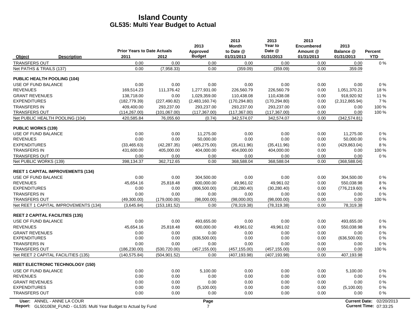|                                                                    | <b>Prior Years to Date Actuals</b> |               | 2013<br>Approved | 2013<br><b>Month</b><br>to Date @ | 2013<br>Year to<br>Date @ | 2013<br><b>Encumbered</b><br>Amount @ | 2013<br>Balance @    | Percent                |
|--------------------------------------------------------------------|------------------------------------|---------------|------------------|-----------------------------------|---------------------------|---------------------------------------|----------------------|------------------------|
| <b>Description</b><br>Object                                       | 2011                               | 2012          | <b>Budget</b>    | 01/31/2013                        | 01/31/2013                | 01/31/2013                            | 01/31/2013           | <b>YTD</b>             |
| <b>TRANSFERS OUT</b>                                               | 0.00                               | 0.00          | 0.00             | 0.00                              | 0.00                      | 0.00                                  | 0.00                 | $0\%$                  |
| Net PATHS & TRAILS (137)                                           | 0.00                               | (7,958.33)    | 0.00             | (359.09)                          | (359.09)                  | 0.00                                  | 359.09               |                        |
| <b>PUBLIC HEALTH POOLING (104)</b>                                 |                                    |               |                  |                                   |                           |                                       |                      |                        |
| USE OF FUND BALANCE                                                | 0.00                               | 0.00          | 0.00             | 0.00                              | 0.00                      | 0.00                                  | 0.00                 | $0\%$                  |
| <b>REVENUES</b>                                                    | 169,514.23                         | 111,376.42    | 1,277,931.00     | 226,560.79                        | 226,560.79                | 0.00                                  | 1,051,370.21         | 18%                    |
| <b>GRANT REVENUES</b>                                              | 138,718.00                         | 0.00          | 1,029,359.00     | 110,438.08                        | 110,438.08                | 0.00                                  | 918,920.92           | 11 %                   |
| <b>EXPENDITURES</b>                                                | (182, 779.39)                      | (227, 490.82) | (2,483,160.74)   | (170, 294.80)                     | (170, 294.80)             | 0.00                                  | (2,312,865.94)       | 7%                     |
| <b>TRANSFERS IN</b>                                                | 409,400.00                         | 293,237.00    | 293,237.00       | 293,237.00                        | 293,237.00                | 0.00                                  | 0.00                 | 100 %                  |
| <b>TRANSFERS OUT</b>                                               | (114, 267.00)                      | (101,067.00)  | (117, 367.00)    | (117, 367.00)                     | (117, 367.00)             | 0.00                                  | 0.00                 | 100 %                  |
| Net PUBLIC HEALTH POOLING (104)                                    | 420,585.84                         | 76,055.60     | (0.74)           | 342,574.07                        | 342,574.07                | 0.00                                  | (342, 574.81)        |                        |
| <b>PUBLIC WORKS (139)</b>                                          |                                    |               |                  |                                   |                           |                                       |                      |                        |
| USE OF FUND BALANCE                                                | 0.00                               | 0.00          | 11,275.00        | 0.00                              | 0.00                      | 0.00                                  | 11,275.00            | $0\%$                  |
| <b>REVENUES</b>                                                    | 0.00                               | 0.00          | 50,000.00        | 0.00                              | 0.00                      | 0.00                                  | 50,000.00            | $0\%$                  |
| <b>EXPENDITURES</b>                                                | (33, 465.63)                       | (42, 287.35)  | (465, 275.00)    | (35, 411.96)                      | (35, 411.96)              | 0.00                                  | (429, 863.04)        | 8%                     |
| <b>TRANSFERS IN</b>                                                | 431,600.00                         | 405,000.00    | 404,000.00       | 404,000.00                        | 404,000.00                | 0.00                                  | 0.00                 | 100 %                  |
| <b>TRANSFERS OUT</b>                                               | 0.00                               | 0.00          | 0.00             | 0.00                              | 0.00                      | 0.00                                  | 0.00                 | $0\%$                  |
| Net PUBLIC WORKS (139)                                             | 398,134.37                         | 362,712.65    | 0.00             | 368,588.04                        | 368,588.04                | 0.00                                  | (368, 588.04)        |                        |
| <b>REET 1 CAPITAL IMPROVEMENTS (134)</b>                           |                                    |               |                  |                                   |                           |                                       |                      |                        |
| USE OF FUND BALANCE                                                | 0.00                               | 0.00          | 304,500.00       | 0.00                              | 0.00                      | 0.00                                  | 304,500.00           | $0\%$                  |
| <b>REVENUES</b>                                                    | 45.654.16                          | 25,818.48     | 600,000.00       | 49.961.02                         | 49.961.02                 | 0.00                                  | 550.038.98           | 8%                     |
| <b>EXPENDITURES</b>                                                | 0.00                               | 0.00          | (806, 500.00)    | (30, 280.40)                      | (30, 280.40)              | 0.00                                  | (776, 219.60)        | 4 %                    |
| <b>TRANSFERS IN</b>                                                | 0.00                               | 0.00          | 0.00             | 0.00                              | 0.00                      | 0.00                                  | 0.00                 | $0\%$                  |
| <b>TRANSFERS OUT</b>                                               | (49,300.00)                        | (179,000.00)  | (98,000.00)      | (98,000.00)                       | (98,000.00)               | 0.00                                  | 0.00                 | 100 %                  |
| Net REET 1 CAPITAL IMPROVEMENTS (134)                              | (3,645.84)                         | (153, 181.52) | 0.00             | (78, 319.38)                      | (78, 319.38)              | 0.00                                  | 78,319.38            |                        |
| <b>REET 2 CAPITAL FACILITIES (135)</b>                             |                                    |               |                  |                                   |                           |                                       |                      |                        |
| USE OF FUND BALANCE                                                | 0.00                               | 0.00          | 493,655.00       | 0.00                              | 0.00                      | 0.00                                  | 493,655.00           | $0\%$                  |
| <b>REVENUES</b>                                                    | 45,654.16                          | 25,818.48     | 600,000.00       | 49,961.02                         | 49,961.02                 | 0.00                                  | 550,038.98           | 8%                     |
| <b>GRANT REVENUES</b>                                              | 0.00                               | 0.00          | 0.00             | 0.00                              | 0.00                      | 0.00                                  | 0.00                 | $0\%$                  |
| <b>EXPENDITURES</b>                                                | 0.00                               | 0.00          | (636,500.00)     | 0.00                              | 0.00                      | 0.00                                  | (636, 500.00)        | $0\%$                  |
| <b>TRANSFERS IN</b>                                                | 0.00                               | 0.00          | 0.00             | 0.00                              | 0.00                      | 0.00                                  | 0.00                 | $0\%$                  |
| <b>TRANSFERS OUT</b>                                               | (186, 230.00)                      | (530, 720.00) | (457, 155.00)    | (457, 155.00)                     | (457, 155.00)             | 0.00                                  | 0.00                 | 100 %                  |
| Net REET 2 CAPITAL FACILITIES (135)                                | (140, 575.84)                      | (504, 901.52) | 0.00             | (407, 193.98)                     | (407, 193.98)             | 0.00                                  | 407,193.98           |                        |
| <b>REET ELECTRONIC TECHNOLOGY (150)</b>                            |                                    |               |                  |                                   |                           |                                       |                      |                        |
| USE OF FUND BALANCE                                                | 0.00                               | 0.00          | 5,100.00         | 0.00                              | 0.00                      | 0.00                                  | 5,100.00             | $0\%$                  |
| <b>REVENUES</b>                                                    | 0.00                               | 0.00          | 0.00             | 0.00                              | 0.00                      | 0.00                                  | 0.00                 | $0\%$                  |
| <b>GRANT REVENUES</b>                                              | 0.00                               | 0.00          | 0.00             | 0.00                              | 0.00                      | 0.00                                  | 0.00                 | $0\%$                  |
| <b>EXPENDITURES</b>                                                | 0.00                               | 0.00          | (5,100.00)       | 0.00                              | 0.00                      | 0.00                                  | (5,100.00)           | 0 %                    |
| <b>TRANSFERS OUT</b>                                               | 0.00                               | 0.00          | 0.00             | 0.00                              | 0.00                      | 0.00                                  | 0.00                 | $0\%$                  |
| User: ANNEL - ANNE LA COUR                                         |                                    |               | Page             |                                   |                           |                                       | <b>Current Date:</b> | 02/20/2013             |
| Report: GL5010EM_FUND - GL535: Multi Year Budget to Actual by Fund |                                    |               | $\overline{7}$   |                                   |                           |                                       |                      | Current Time: 07:33:25 |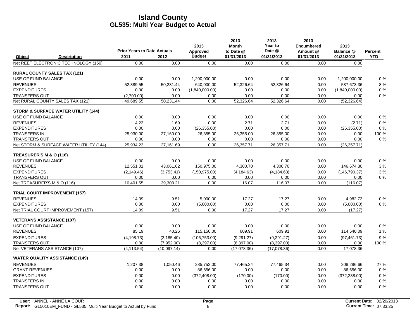|                                     |                                                |                                            |             | 2013                      | 2013<br><b>Month</b>    | 2013<br>Year to      | 2013<br><b>Encumbered</b> | 2013                    |                              |
|-------------------------------------|------------------------------------------------|--------------------------------------------|-------------|---------------------------|-------------------------|----------------------|---------------------------|-------------------------|------------------------------|
|                                     | <b>Description</b>                             | <b>Prior Years to Date Actuals</b><br>2011 | 2012        | Approved<br><b>Budget</b> | to Date @<br>01/31/2013 | Date @<br>01/31/2013 | Amount @<br>01/31/2013    | Balance @<br>01/31/2013 | <b>Percent</b><br><b>YTD</b> |
| Object                              | Net REET ELECTRONIC TECHNOLOGY (150)           | 0.00                                       | 0.00        | 0.00                      | 0.00                    | 0.00                 | 0.00                      | 0.00                    |                              |
|                                     |                                                |                                            |             |                           |                         |                      |                           |                         |                              |
| <b>RURAL COUNTY SALES TAX (121)</b> |                                                |                                            |             |                           |                         |                      |                           |                         |                              |
| USE OF FUND BALANCE                 |                                                | 0.00                                       | 0.00        | 1,200,000.00              | 0.00                    | 0.00                 | 0.00                      | 1,200,000.00            | 0%                           |
| <b>REVENUES</b>                     |                                                | 52.389.55                                  | 50.231.44   | 640.000.00                | 52.326.64               | 52.326.64            | 0.00                      | 587.673.36              | 8%                           |
| <b>EXPENDITURES</b>                 |                                                | 0.00                                       | 0.00        | (1,840,000.00)            | 0.00                    | 0.00                 | 0.00                      | (1,840,000.00)          | 0%                           |
| <b>TRANSFERS OUT</b>                |                                                | (2,700.00)                                 | 0.00        | 0.00                      | 0.00                    | 0.00                 | 0.00                      | 0.00                    | 0%                           |
|                                     | Net RURAL COUNTY SALES TAX (121)               | 49,689.55                                  | 50,231.44   | 0.00                      | 52,326.64               | 52,326.64            | 0.00                      | (52, 326.64)            |                              |
|                                     | <b>STORM &amp; SURFACE WATER UTILITY (144)</b> |                                            |             |                           |                         |                      |                           |                         |                              |
| USE OF FUND BALANCE                 |                                                | 0.00                                       | 0.00        | 0.00                      | 0.00                    | 0.00                 | 0.00                      | 0.00                    | 0%                           |
| <b>REVENUES</b>                     |                                                | 4.23                                       | 1.69        | 0.00                      | 2.71                    | 2.71                 | 0.00                      | (2.71)                  | 0%                           |
| <b>EXPENDITURES</b>                 |                                                | 0.00                                       | 0.00        | (26, 355.00)              | 0.00                    | 0.00                 | 0.00                      | (26, 355.00)            | 0%                           |
| <b>TRANSFERS IN</b>                 |                                                | 25,930.00                                  | 27,160.00   | 26,355.00                 | 26,355.00               | 26,355.00            | 0.00                      | 0.00                    | 100 %                        |
| <b>TRANSFERS OUT</b>                |                                                | 0.00                                       | 0.00        | 0.00                      | 0.00                    | 0.00                 | 0.00                      | 0.00                    | 0%                           |
|                                     | Net STORM & SURFACE WATER UTILITY (144)        | 25,934.23                                  | 27,161.69   | 0.00                      | 26,357.71               | 26,357.71            | 0.00                      | (26, 357.71)            |                              |
| TREASURER'S M & O (116)             |                                                |                                            |             |                           |                         |                      |                           |                         |                              |
| USE OF FUND BALANCE                 |                                                | 0.00                                       | 0.00        | 0.00                      | 0.00                    | 0.00                 | 0.00                      | 0.00                    | 0%                           |
| <b>REVENUES</b>                     |                                                | 12,551.01                                  | 43,061.62   | 150,975.00                | 4,300.70                | 4,300.70             | 0.00                      | 146,674.30              | 3%                           |
| <b>EXPENDITURES</b>                 |                                                | (2, 149.46)                                | (3,753.41)  | (150, 975.00)             | (4, 184.63)             | (4, 184.63)          | 0.00                      | (146, 790.37)           | 3%                           |
| <b>TRANSFERS OUT</b>                |                                                | 0.00                                       | 0.00        | 0.00                      | 0.00                    | 0.00                 | 0.00                      | 0.00                    | 0%                           |
| Net TREASURER'S M & O (116)         |                                                | 10,401.55                                  | 39,308.21   | 0.00                      | 116.07                  | 116.07               | 0.00                      | (116.07)                |                              |
|                                     | <b>TRIAL COURT IMPROVEMENT (157)</b>           |                                            |             |                           |                         |                      |                           |                         |                              |
| <b>REVENUES</b>                     |                                                | 14.09                                      | 9.51        | 5,000.00                  | 17.27                   | 17.27                | 0.00                      | 4.982.73                | 0%                           |
| <b>EXPENDITURES</b>                 |                                                | 0.00                                       | 0.00        | (5,000.00)                | 0.00                    | 0.00                 | 0.00                      | (5,000.00)              | 0%                           |
|                                     | Net TRIAL COURT IMPROVEMENT (157)              | 14.09                                      | 9.51        | 0.00                      | 17.27                   | 17.27                | 0.00                      | (17.27)                 |                              |
| <b>VETERANS ASSISTANCE (107)</b>    |                                                |                                            |             |                           |                         |                      |                           |                         |                              |
| USE OF FUND BALANCE                 |                                                | 0.00                                       | 0.00        | 0.00                      | 0.00                    | 0.00                 | 0.00                      | 0.00                    | 0%                           |
| <b>REVENUES</b>                     |                                                | 85.19                                      | 40.26       | 115,150.00                | 609.91                  | 609.91               | 0.00                      | 114,540.09              | 1 %                          |
| <b>EXPENDITURES</b>                 |                                                | (4, 198.73)                                | (2, 185.40) | (106, 753.00)             | (9, 291.27)             | (9, 291.27)          | 0.00                      | (97, 461.73)            | 9%                           |
| <b>TRANSFERS OUT</b>                |                                                | 0.00                                       | (7,952.00)  | (8,397.00)                | (8,397.00)              | (8,397.00)           | 0.00                      | 0.00                    | 100 %                        |
| Net VETERANS ASSISTANCE (107)       |                                                | (4, 113.54)                                | (10,097.14) | 0.00                      | (17,078.36)             | (17,078.36)          | 0.00                      | 17,078.36               |                              |
|                                     | <b>WATER QUALITY ASSISTANCE (149)</b>          |                                            |             |                           |                         |                      |                           |                         |                              |
| <b>REVENUES</b>                     |                                                | 1,207.38                                   | 1,050.46    | 285,752.00                | 77,465.34               | 77,465.34            | 0.00                      | 208,286.66              | 27 %                         |
| <b>GRANT REVENUES</b>               |                                                | 0.00                                       | 0.00        | 86,656.00                 | 0.00                    | 0.00                 | 0.00                      | 86,656.00               | 0%                           |
| <b>EXPENDITURES</b>                 |                                                | 0.00                                       | 0.00        | (372, 408.00)             | (170.00)                | (170.00)             | 0.00                      | (372, 238.00)           | 0%                           |
| <b>TRANSFERS IN</b>                 |                                                | 0.00                                       | 0.00        | 0.00                      | 0.00                    | 0.00                 | 0.00                      | 0.00                    | 0%                           |
| <b>TRANSFERS OUT</b>                |                                                | 0.00                                       | 0.00        | 0.00                      | 0.00                    | 0.00                 | 0.00                      | 0.00                    | 0%                           |
|                                     |                                                |                                            |             |                           |                         |                      |                           |                         |                              |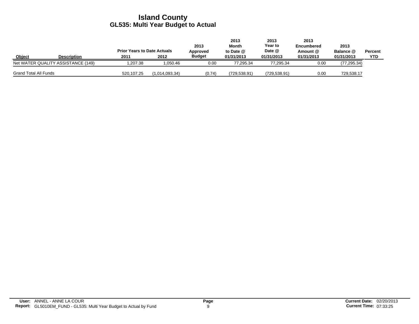|                              |                                    | <b>Prior Years to Date Actuals</b> |                | 2013<br>Approved | 2013<br>Month<br>to Date @ | 2013<br>Year to<br>Date @ | 2013<br>Encumbered<br>Amount @ | 2013<br><b>Balance @</b> | Percent    |
|------------------------------|------------------------------------|------------------------------------|----------------|------------------|----------------------------|---------------------------|--------------------------------|--------------------------|------------|
| <b>Object</b>                | <b>Description</b>                 | 2011                               | 2012           | <b>Budget</b>    | 01/31/2013                 | 01/31/2013                | 01/31/2013                     | 01/31/2013               | <b>YTD</b> |
|                              | Net WATER QUALITY ASSISTANCE (149) | .207.38                            | 1.050.46       | 0.00             | 77.295.34                  | 77.295.34                 | 0.00                           | (77, 295.34)             |            |
| <b>Grand Total All Funds</b> |                                    | 520,107.25                         | (1,014,093.34) | (0.74)           | (729, 538.91)              | (729,538.91)              | 0.00                           | 729,538.17               |            |